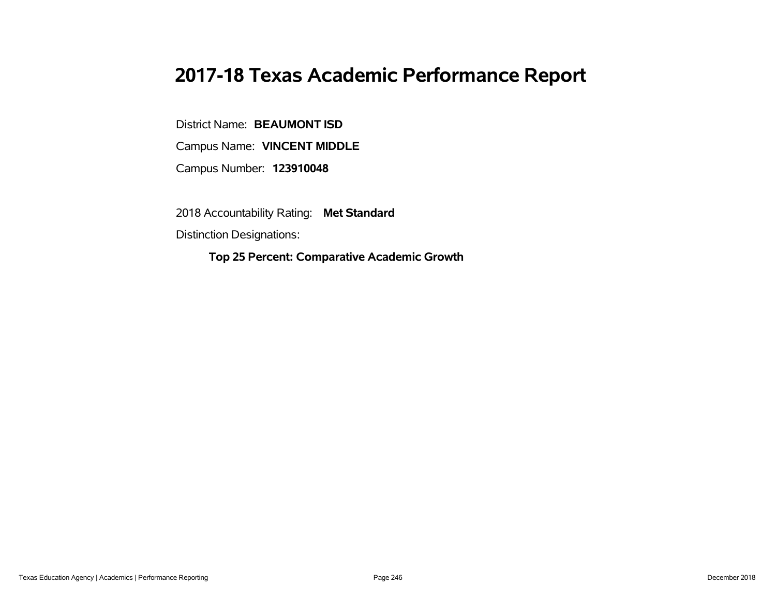# **2017-18 Texas Academic Performance Report**

District Name: **BEAUMONT ISD**

Campus Name: **VINCENT MIDDLE**

Campus Number: **123910048**

2018 Accountability Rating: **Met Standard**

Distinction Designations:

**Top 25 Percent: Comparative Academic Growth**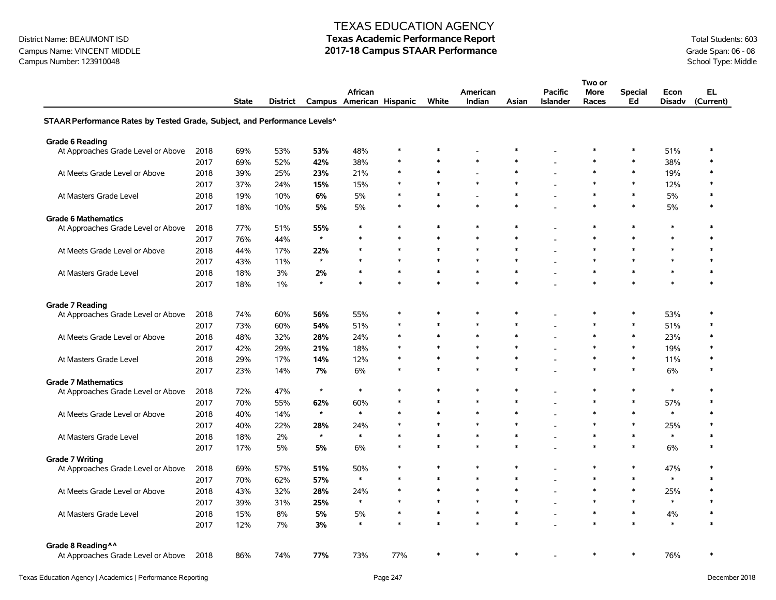### Campus Name: VINCENT MIDDLE **2017-18 Campus STAAR Performance** Grade Span: 06 - 08<br>Campus Number: 123910048<br>School Type: Middle Campus Number: 123910048

#### TEXAS EDUCATION AGENCY

|                                                                           |      |              |          |         |                          |        |        |              |        |                          | Two or |                |        |           |
|---------------------------------------------------------------------------|------|--------------|----------|---------|--------------------------|--------|--------|--------------|--------|--------------------------|--------|----------------|--------|-----------|
|                                                                           |      |              |          |         | African                  |        |        | American     |        | <b>Pacific</b>           | More   | <b>Special</b> | Econ   | EL.       |
|                                                                           |      | <b>State</b> | District |         | Campus American Hispanic |        | White  | Indian       | Asian  | <b>Islander</b>          | Races  | Ed             | Disadv | (Current) |
| STAAR Performance Rates by Tested Grade, Subject, and Performance Levels^ |      |              |          |         |                          |        |        |              |        |                          |        |                |        |           |
| <b>Grade 6 Reading</b>                                                    |      |              |          |         |                          |        |        |              |        |                          |        |                |        |           |
| At Approaches Grade Level or Above                                        | 2018 | 69%          | 53%      | 53%     | 48%                      | $\ast$ | $\ast$ |              | $\ast$ |                          | $\ast$ | $\ast$         | 51%    | $\ast$    |
|                                                                           | 2017 | 69%          | 52%      | 42%     | 38%                      | $\ast$ | $\ast$ | $\ast$       | $\ast$ | L,                       | $\ast$ | $\ast$         | 38%    | $\ast$    |
| At Meets Grade Level or Above                                             | 2018 | 39%          | 25%      | 23%     | 21%                      | $\ast$ | $\ast$ |              | $\ast$ | $\overline{\phantom{a}}$ | $\ast$ | $\ast$         | 19%    | $\ast$    |
|                                                                           | 2017 | 37%          | 24%      | 15%     | 15%                      | *      | $\ast$ | $\ast$       | $\ast$ | $\overline{a}$           | $\ast$ | $\ast$         | 12%    |           |
| At Masters Grade Level                                                    | 2018 | 19%          | 10%      | 6%      | 5%                       | $\ast$ | $\ast$ |              | $\ast$ | $\overline{\phantom{a}}$ | $\ast$ | $\ast$         | 5%     | *         |
|                                                                           | 2017 | 18%          | 10%      | 5%      | 5%                       | $\ast$ | $\ast$ | $\pmb{\ast}$ | $\ast$ |                          | $\ast$ | $\ast$         | 5%     | *         |
| <b>Grade 6 Mathematics</b>                                                |      |              |          |         |                          |        |        |              |        |                          |        |                |        |           |
| At Approaches Grade Level or Above                                        | 2018 | 77%          | 51%      | 55%     | $\ast$                   | $\ast$ | $\ast$ | $\ast$       | $\ast$ | ٠                        | $\ast$ | $\ast$         | $\ast$ | $\ast$    |
|                                                                           | 2017 | 76%          | 44%      | $\star$ | $\ast$                   | $\ast$ | $\ast$ | $\ast$       | $\ast$ |                          | $\ast$ | $\ast$         | $\ast$ |           |
| At Meets Grade Level or Above                                             | 2018 | 44%          | 17%      | 22%     | $\ast$                   | $\ast$ | $\ast$ | $\ast$       | $\ast$ |                          | $\ast$ | $\ast$         | $\ast$ |           |
|                                                                           | 2017 | 43%          | 11%      | $\star$ | $\ast$                   | $\ast$ | $\ast$ | $\ast$       | $\ast$ |                          | $\ast$ | $\ast$         | $\ast$ | $\ast$    |
| At Masters Grade Level                                                    | 2018 | 18%          | 3%       | 2%      | $\ast$                   | $\ast$ | $\ast$ | $\ast$       | $\ast$ | $\overline{\phantom{a}}$ | $\ast$ | $\ast$         | $\ast$ | $\ast$    |
|                                                                           | 2017 | 18%          | $1\%$    | $\star$ | $\ast$                   | $\ast$ | $\ast$ | $\ast$       | $\ast$ |                          | $\ast$ | $\ast$         | $\ast$ | $\ast$    |
|                                                                           |      |              |          |         |                          |        |        |              |        |                          |        |                |        |           |
| <b>Grade 7 Reading</b><br>At Approaches Grade Level or Above              | 2018 | 74%          | 60%      | 56%     | 55%                      | *      | $\ast$ | $\ast$       | $\ast$ |                          | $\ast$ | $\ast$         | 53%    | *         |
|                                                                           | 2017 | 73%          | 60%      | 54%     | 51%                      | $\ast$ | $\ast$ | $\ast$       | $\ast$ | L,                       | $\ast$ | $\ast$         | 51%    | $\ast$    |
| At Meets Grade Level or Above                                             | 2018 | 48%          | 32%      | 28%     | 24%                      | $\ast$ | $\ast$ | $\ast$       | $\ast$ |                          | $\ast$ | $\ast$         | 23%    | $\ast$    |
|                                                                           | 2017 | 42%          | 29%      | 21%     | 18%                      | $\ast$ | $\ast$ | $\ast$       | $\ast$ |                          | $\ast$ | $\ast$         | 19%    |           |
|                                                                           |      |              |          |         |                          | $\ast$ | $\ast$ | $\ast$       | $\ast$ |                          | $\ast$ | $\ast$         |        | $\ast$    |
| At Masters Grade Level                                                    | 2018 | 29%          | 17%      | 14%     | 12%                      | $\ast$ | $\ast$ |              | $\ast$ |                          | $\ast$ | $\ast$         | 11%    | $\ast$    |
|                                                                           | 2017 | 23%          | 14%      | 7%      | 6%                       |        |        |              |        |                          |        |                | 6%     |           |
| <b>Grade 7 Mathematics</b><br>At Approaches Grade Level or Above          | 2018 | 72%          | 47%      | $\star$ | $\ast$                   | $\ast$ | $\ast$ | $\ast$       | $\ast$ | ۰                        | $\ast$ | $\ast$         | $\ast$ | $\ast$    |
|                                                                           | 2017 | 70%          | 55%      | 62%     | 60%                      | $\ast$ | $\ast$ | $\ast$       | $\ast$ | ٠                        | $\ast$ | $\ast$         | 57%    | $\ast$    |
| At Meets Grade Level or Above                                             | 2018 | 40%          | 14%      | $\star$ | $\ast$                   | $\ast$ | $\ast$ | $\ast$       | $\ast$ | $\overline{\phantom{a}}$ | $\ast$ | $\ast$         | $\ast$ | $\ast$    |
|                                                                           | 2017 | 40%          | 22%      | 28%     | 24%                      | $\ast$ | $\ast$ | $\ast$       | $\ast$ |                          | $\ast$ | $\ast$         | 25%    |           |
| At Masters Grade Level                                                    | 2018 | 18%          | 2%       | $\star$ | $\ast$                   | $\ast$ | $\ast$ | $\pmb{\ast}$ | $\ast$ | L,                       | $\ast$ | $\ast$         | $\ast$ | $\ast$    |
|                                                                           | 2017 | 17%          | 5%       | 5%      | 6%                       | $\ast$ | $\ast$ | $\ast$       | $\ast$ |                          | $\ast$ | $\ast$         | 6%     | $\ast$    |
| <b>Grade 7 Writing</b>                                                    |      |              |          |         |                          |        |        |              |        |                          |        |                |        |           |
| At Approaches Grade Level or Above                                        | 2018 | 69%          | 57%      | 51%     | 50%                      | $\ast$ | $\ast$ | $\ast$       | $\ast$ | ۰                        | $\ast$ | $\ast$         | 47%    | $\ast$    |
|                                                                           | 2017 | 70%          | 62%      | 57%     | $\ast$                   | $\ast$ | $\ast$ | $\ast$       | $\ast$ | $\overline{a}$           | $\ast$ | $\ast$         | $\ast$ | $\ast$    |
| At Meets Grade Level or Above                                             | 2018 | 43%          | 32%      | 28%     | 24%                      | $\ast$ | $\ast$ | $\ast$       | $\ast$ |                          | $\ast$ | $\ast$         | 25%    | $\ast$    |
|                                                                           | 2017 | 39%          | 31%      | 25%     | $\pmb{\ast}$             | $\ast$ | $\ast$ | $\ast$       | $\ast$ | ÷                        | $\ast$ | $\ast$         | $\ast$ | $\ast$    |
| At Masters Grade Level                                                    | 2018 | 15%          | 8%       | 5%      | 5%                       | $\ast$ | $\ast$ | $\ast$       | $\ast$ | L,                       | $\ast$ | $\ast$         | 4%     | $\ast$    |
|                                                                           | 2017 | 12%          | 7%       | 3%      | $\ast$                   | $\ast$ | $\ast$ | $\ast$       | $\ast$ |                          | $\ast$ | $\ast$         | $\ast$ | $\ast$    |
|                                                                           |      |              |          |         |                          |        |        |              |        |                          |        |                |        |           |
| Grade 8 Reading ^^                                                        |      |              |          |         |                          |        |        |              |        |                          |        |                |        |           |
| At Approaches Grade Level or Above                                        | 2018 | 86%          | 74%      | 77%     | 73%                      | 77%    | $\ast$ | $\ast$       | $\ast$ |                          | $\ast$ | $\ast$         | 76%    | *         |
|                                                                           |      |              |          |         |                          |        |        |              |        |                          |        |                |        |           |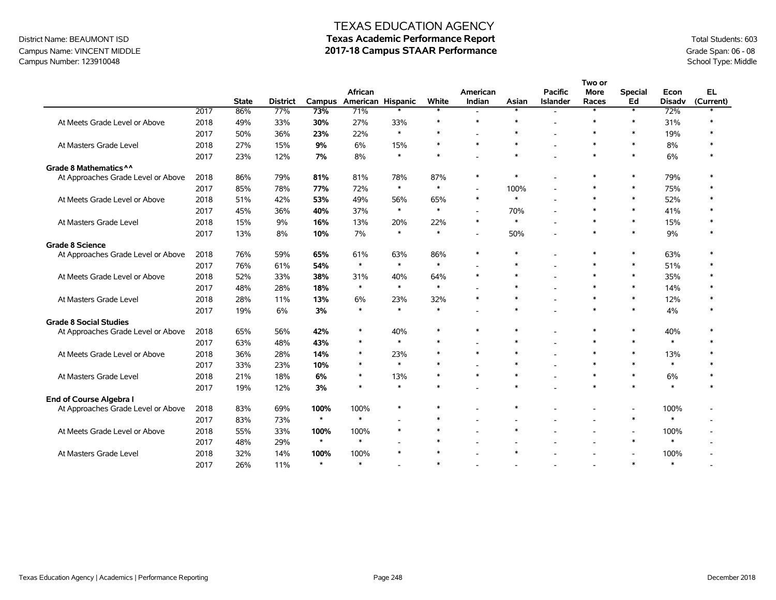### Campus Name: VINCENT MIDDLE **2017-18 Campus STAAR Performance** Grade Span: 06 - 08<br>Campus Number: 123910048<br>School Type: Middle Campus Number: 123910048

|                                    |      |              |                 |         |                              |        |        |                          |                          |                                   | Two or                   |                          |                       |                        |
|------------------------------------|------|--------------|-----------------|---------|------------------------------|--------|--------|--------------------------|--------------------------|-----------------------------------|--------------------------|--------------------------|-----------------------|------------------------|
|                                    |      | <b>State</b> | <b>District</b> | Campus  | African<br>American Hispanic |        | White  | American<br>Indian       | Asian                    | <b>Pacific</b><br><b>Islander</b> | <b>More</b><br>Races     | <b>Special</b><br>Ed     | Econ<br><b>Disadv</b> | <b>EL</b><br>(Current) |
|                                    | 2017 | 86%          | 77%             | 73%     | 71%                          |        | $\ast$ | $\overline{\phantom{a}}$ | $\ast$                   |                                   |                          | $\ast$                   | 72%                   |                        |
| At Meets Grade Level or Above      | 2018 | 49%          | 33%             | 30%     | 27%                          | 33%    | $\ast$ | $\ast$                   | $\ast$                   |                                   | $\ast$                   | $\ast$                   | 31%                   | $\ast$                 |
|                                    | 2017 | 50%          | 36%             | 23%     | 22%                          | $\ast$ | $\ast$ |                          | $\ast$                   |                                   | $\ast$                   | $\ast$                   | 19%                   |                        |
| At Masters Grade Level             | 2018 | 27%          | 15%             | 9%      | 6%                           | 15%    | $\ast$ | $\ast$                   | $\ast$                   |                                   | $\ast$                   | $\ast$                   | 8%                    | $\ast$                 |
|                                    | 2017 | 23%          | 12%             | 7%      | 8%                           | $\ast$ | $\ast$ |                          | $\ast$                   |                                   | $\ast$                   | $\ast$                   | 6%                    | $\ast$                 |
| Grade 8 Mathematics ^ ^            |      |              |                 |         |                              |        |        |                          |                          |                                   |                          |                          |                       |                        |
| At Approaches Grade Level or Above | 2018 | 86%          | 79%             | 81%     | 81%                          | 78%    | 87%    | $\ast$                   | $\ast$                   |                                   | $\ast$                   | $\ast$                   | 79%                   | $\ast$                 |
|                                    | 2017 | 85%          | 78%             | 77%     | 72%                          | $\ast$ | $\ast$ | L,                       | 100%                     |                                   | $\ast$                   | $\ast$                   | 75%                   | $\ast$                 |
| At Meets Grade Level or Above      | 2018 | 51%          | 42%             | 53%     | 49%                          | 56%    | 65%    | $\ast$                   | $\ast$                   |                                   | $\ast$                   | $\ast$                   | 52%                   |                        |
|                                    | 2017 | 45%          | 36%             | 40%     | 37%                          | $\ast$ | $\ast$ | $\overline{a}$           | 70%                      |                                   | $\ast$                   | $\ast$                   | 41%                   |                        |
| At Masters Grade Level             | 2018 | 15%          | 9%              | 16%     | 13%                          | 20%    | 22%    | $\ast$                   | $\ast$                   |                                   | $\ast$                   | $\ast$                   | 15%                   |                        |
|                                    | 2017 | 13%          | 8%              | 10%     | 7%                           | $\ast$ | $\ast$ | L,                       | 50%                      |                                   | $\ast$                   | $\ast$                   | 9%                    |                        |
| <b>Grade 8 Science</b>             |      |              |                 |         |                              |        |        |                          |                          |                                   |                          |                          |                       |                        |
| At Approaches Grade Level or Above | 2018 | 76%          | 59%             | 65%     | 61%                          | 63%    | 86%    | $\ast$                   | $\ast$                   |                                   | $\ast$                   | $\ast$                   | 63%                   |                        |
|                                    | 2017 | 76%          | 61%             | 54%     | $\ast$                       | $\ast$ | $\ast$ |                          | $\ast$                   |                                   | $\ast$                   | $\ast$                   | 51%                   | $\ast$                 |
| At Meets Grade Level or Above      | 2018 | 52%          | 33%             | 38%     | 31%                          | 40%    | 64%    | $\ast$                   | $\ast$                   |                                   | $\ast$                   | $\ast$                   | 35%                   | $\ast$                 |
|                                    | 2017 | 48%          | 28%             | 18%     | $\ast$                       | $\ast$ | $\ast$ |                          | $\ast$                   |                                   | $\ast$                   | $\ast$                   | 14%                   | $\ast$                 |
| At Masters Grade Level             | 2018 | 28%          | 11%             | 13%     | 6%                           | 23%    | 32%    | $\ast$                   | $\ast$                   |                                   | $\ast$                   | $\ast$                   | 12%                   |                        |
|                                    | 2017 | 19%          | 6%              | 3%      | $\ast$                       | $\ast$ | $\ast$ |                          | $\ast$                   |                                   | $\ast$                   | $\ast$                   | 4%                    |                        |
| <b>Grade 8 Social Studies</b>      |      |              |                 |         |                              |        |        |                          |                          |                                   |                          |                          |                       |                        |
| At Approaches Grade Level or Above | 2018 | 65%          | 56%             | 42%     | $\ast$                       | 40%    | $\ast$ | $\ast$                   | $\ast$                   |                                   | $\ast$                   | $\ast$                   | 40%                   |                        |
|                                    | 2017 | 63%          | 48%             | 43%     | $\ast$                       | $\ast$ | $\ast$ |                          | $\ast$                   |                                   | $\ast$                   | $\ast$                   | $\ast$                | $\ast$                 |
| At Meets Grade Level or Above      | 2018 | 36%          | 28%             | 14%     | $\ast$                       | 23%    | $\ast$ | $\ast$                   | $\ast$                   |                                   | $\ast$                   | $\ast$                   | 13%                   | $\ast$                 |
|                                    | 2017 | 33%          | 23%             | 10%     | $\ast$                       | $\ast$ | $\ast$ |                          | $\ast$                   |                                   | $\ast$                   | $\ast$                   | $\ast$                |                        |
| At Masters Grade Level             | 2018 | 21%          | 18%             | 6%      | $\ast$                       | 13%    | $\ast$ | $\ast$                   | $\ast$                   |                                   | $\ast$                   | $\ast$                   | 6%                    | $\ast$                 |
|                                    | 2017 | 19%          | 12%             | 3%      | $\ast$                       | $\ast$ | $\ast$ |                          | $\ast$                   |                                   | $\ast$                   | $\ast$                   | $\ast$                | $\ast$                 |
| End of Course Algebra I            |      |              |                 |         |                              |        |        |                          |                          |                                   |                          |                          |                       |                        |
| At Approaches Grade Level or Above | 2018 | 83%          | 69%             | 100%    | 100%                         | $\ast$ | $\ast$ |                          | $\ast$                   |                                   |                          | $\overline{\phantom{a}}$ | 100%                  |                        |
|                                    | 2017 | 83%          | 73%             | $\star$ | $\ast$                       |        | $\ast$ | $\overline{\phantom{a}}$ | $\overline{\phantom{a}}$ |                                   |                          | $\ast$                   | $\ast$                |                        |
| At Meets Grade Level or Above      | 2018 | 55%          | 33%             | 100%    | 100%                         | $\ast$ | $\ast$ |                          | $\ast$                   |                                   |                          | $\overline{\phantom{a}}$ | 100%                  |                        |
|                                    | 2017 | 48%          | 29%             | $\star$ | $\ast$                       |        | $\ast$ |                          |                          |                                   | $\overline{\phantom{a}}$ | $\ast$                   | $\ast$                |                        |
| At Masters Grade Level             | 2018 | 32%          | 14%             | 100%    | 100%                         | $\ast$ | $\ast$ |                          | $\ast$                   |                                   |                          | $\overline{\phantom{a}}$ | 100%                  |                        |
|                                    | 2017 | 26%          | 11%             | $\star$ | $\ast$                       |        | $\ast$ |                          |                          |                                   |                          | $\ast$                   | $\ast$                |                        |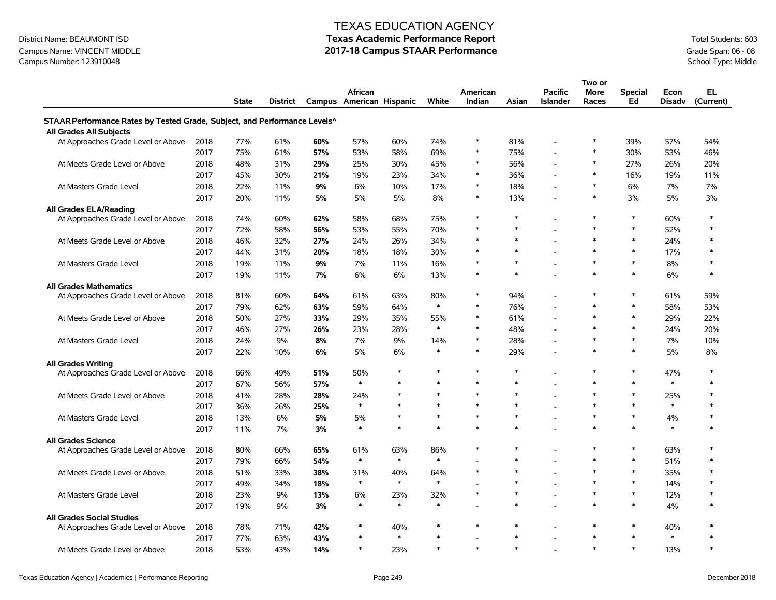### Campus Name: VINCENT MIDDLE **2017-18 Campus STAAR Performance** Grade Span: 06 - 08<br>Campus Number: 123910048<br>School Type: Middle Campus Number: 123910048

#### TEXAS EDUCATION AGENCY

|                                                                           |      |              |          |     |                          |              |        |          |        |                 | Two or |                |               |           |
|---------------------------------------------------------------------------|------|--------------|----------|-----|--------------------------|--------------|--------|----------|--------|-----------------|--------|----------------|---------------|-----------|
|                                                                           |      |              |          |     | African                  |              |        | American |        | <b>Pacific</b>  | More   | <b>Special</b> | Econ          | EL        |
|                                                                           |      | <b>State</b> | District |     | Campus American Hispanic |              | White  | Indian   | Asian  | <b>Islander</b> | Races  | Ed             | <b>Disadv</b> | (Current) |
| STAAR Performance Rates by Tested Grade, Subject, and Performance Levels^ |      |              |          |     |                          |              |        |          |        |                 |        |                |               |           |
| All Grades All Subjects                                                   |      |              |          |     |                          |              |        |          |        |                 |        |                |               |           |
| At Approaches Grade Level or Above                                        | 2018 | 77%          | 61%      | 60% | 57%                      | 60%          | 74%    | $\ast$   | 81%    |                 | $\ast$ | 39%            | 57%           | 54%       |
|                                                                           | 2017 | 75%          | 61%      | 57% | 53%                      | 58%          | 69%    | $\ast$   | 75%    |                 | $\ast$ | 30%            | 53%           | 46%       |
| At Meets Grade Level or Above                                             | 2018 | 48%          | 31%      | 29% | 25%                      | 30%          | 45%    | $\ast$   | 56%    |                 | $\ast$ | 27%            | 26%           | 20%       |
|                                                                           | 2017 | 45%          | 30%      | 21% | 19%                      | 23%          | 34%    | $\ast$   | 36%    |                 | $\ast$ | 16%            | 19%           | 11%       |
| At Masters Grade Level                                                    | 2018 | 22%          | 11%      | 9%  | 6%                       | 10%          | 17%    | $\ast$   | 18%    |                 | $\ast$ | 6%             | 7%            | $7\%$     |
|                                                                           | 2017 | 20%          | 11%      | 5%  | 5%                       | 5%           | 8%     | $\ast$   | 13%    |                 | $\ast$ | 3%             | 5%            | 3%        |
| <b>All Grades ELA/Reading</b>                                             |      |              |          |     |                          |              |        |          |        |                 |        |                |               |           |
| At Approaches Grade Level or Above                                        | 2018 | 74%          | 60%      | 62% | 58%                      | 68%          | 75%    | $\ast$   | $\ast$ |                 | $\ast$ | $\ast$         | 60%           | $\ast$    |
|                                                                           | 2017 | 72%          | 58%      | 56% | 53%                      | 55%          | 70%    | $\ast$   | $\ast$ |                 | $\ast$ | $\ast$         | 52%           | $\ast$    |
| At Meets Grade Level or Above                                             | 2018 | 46%          | 32%      | 27% | 24%                      | 26%          | 34%    | $\ast$   | $\ast$ |                 | $\ast$ | $\ast$         | 24%           | $\ast$    |
|                                                                           | 2017 | 44%          | 31%      | 20% | 18%                      | 18%          | 30%    | $\ast$   | $\ast$ |                 | $\ast$ | $\ast$         | 17%           | $\ast$    |
| At Masters Grade Level                                                    | 2018 | 19%          | 11%      | 9%  | 7%                       | 11%          | 16%    | $\ast$   | $\ast$ |                 | $\ast$ | $\ast$         | 8%            | $\ast$    |
|                                                                           | 2017 | 19%          | 11%      | 7%  | 6%                       | 6%           | 13%    | $\ast$   | $\ast$ |                 | $\ast$ | $\ast$         | 6%            | $\ast$    |
| <b>All Grades Mathematics</b>                                             |      |              |          |     |                          |              |        |          |        |                 |        |                |               |           |
| At Approaches Grade Level or Above                                        | 2018 | 81%          | 60%      | 64% | 61%                      | 63%          | 80%    | $\ast$   | 94%    |                 | $\ast$ | $\ast$         | 61%           | 59%       |
|                                                                           | 2017 | 79%          | 62%      | 63% | 59%                      | 64%          | $\ast$ | $\ast$   | 76%    |                 | $\ast$ | $\ast$         | 58%           | 53%       |
| At Meets Grade Level or Above                                             | 2018 | 50%          | 27%      | 33% | 29%                      | 35%          | 55%    | $\ast$   | 61%    |                 | $\ast$ | $\ast$         | 29%           | 22%       |
|                                                                           | 2017 | 46%          | 27%      | 26% | 23%                      | 28%          | $\ast$ | $\ast$   | 48%    |                 | $\ast$ | $\ast$         | 24%           | 20%       |
| At Masters Grade Level                                                    | 2018 | 24%          | 9%       | 8%  | 7%                       | 9%           | 14%    | $\ast$   | 28%    |                 | $\ast$ | $\ast$         | 7%            | 10%       |
|                                                                           | 2017 | 22%          | 10%      | 6%  | 5%                       | 6%           | $\ast$ | $\ast$   | 29%    |                 | $\ast$ | $\ast$         | 5%            | 8%        |
| <b>All Grades Writing</b>                                                 |      |              |          |     |                          |              |        |          |        |                 |        |                |               |           |
| At Approaches Grade Level or Above                                        | 2018 | 66%          | 49%      | 51% | 50%                      | $\ast$       | $\ast$ | $\ast$   | $\ast$ |                 | $\ast$ | $\ast$         | 47%           | $\ast$    |
|                                                                           | 2017 | 67%          | 56%      | 57% | $\ast$                   | $\ast$       | $\ast$ | $\ast$   | $\ast$ |                 | $\ast$ | $\ast$         | $\pmb{\ast}$  | $\ast$    |
| At Meets Grade Level or Above                                             | 2018 | 41%          | 28%      | 28% | 24%                      | $\ast$       | $\ast$ | $\ast$   | $\ast$ |                 | $\ast$ | $\ast$         | 25%           | $\ast$    |
|                                                                           | 2017 | 36%          | 26%      | 25% | $\ast$                   | $\pmb{\ast}$ | $\ast$ | $\ast$   | $\ast$ |                 | $\ast$ | $\ast$         | $\ast$        | $\ast$    |
| At Masters Grade Level                                                    | 2018 | 13%          | 6%       | 5%  | 5%                       | $\ast$       | $\ast$ | $\ast$   | $\ast$ |                 | $\ast$ | $\ast$         | 4%            | $\ast$    |
|                                                                           | 2017 | 11%          | 7%       | 3%  | $\ast$                   | $\ast$       | $\ast$ | $\ast$   | $\ast$ |                 | $\ast$ | $\ast$         | $\ast$        | $\ast$    |
| <b>All Grades Science</b>                                                 |      |              |          |     |                          |              |        |          |        |                 |        |                |               |           |
| At Approaches Grade Level or Above                                        | 2018 | 80%          | 66%      | 65% | 61%                      | 63%          | 86%    | $\ast$   | $\ast$ |                 | $\ast$ | $\ast$         | 63%           | $\ast$    |
|                                                                           | 2017 | 79%          | 66%      | 54% | $\ast$                   | $\ast$       | $\ast$ |          | $\ast$ |                 | $\ast$ | $\ast$         | 51%           | $\ast$    |
| At Meets Grade Level or Above                                             | 2018 | 51%          | 33%      | 38% | 31%                      | 40%          | 64%    | $\ast$   | $\ast$ |                 | $\ast$ | $\ast$         | 35%           | $\ast$    |
|                                                                           | 2017 | 49%          | 34%      | 18% | $\ast$                   | $\ast$       | $\ast$ |          | $\ast$ |                 | $\ast$ | $\ast$         | 14%           | $\ast$    |
| At Masters Grade Level                                                    | 2018 | 23%          | 9%       | 13% | 6%                       | 23%          | 32%    | $\ast$   | $\ast$ |                 | $\ast$ | $\ast$         | 12%           | $\ast$    |
|                                                                           | 2017 | 19%          | 9%       | 3%  | $\ast$                   | $\ast$       | $\ast$ |          | $\ast$ |                 | $\ast$ | $\ast$         | 4%            | $\ast$    |
| <b>All Grades Social Studies</b>                                          |      |              |          |     |                          |              |        |          |        |                 |        |                |               |           |
| At Approaches Grade Level or Above                                        | 2018 | 78%          | 71%      | 42% | $\ast$                   | 40%          | $\ast$ | $\ast$   | $\ast$ |                 | $\ast$ | $\ast$         | 40%           | $\ast$    |
|                                                                           | 2017 | 77%          | 63%      | 43% |                          | $\ast$       | $\ast$ |          | $\ast$ |                 | $\ast$ | $\ast$         | $\ast$        | $\ast$    |
| At Meets Grade Level or Above                                             | 2018 | 53%          | 43%      | 14% | $\ast$                   | 23%          | $\ast$ | $\ast$   | $\ast$ |                 | $\ast$ | $\ast$         | 13%           | $\ast$    |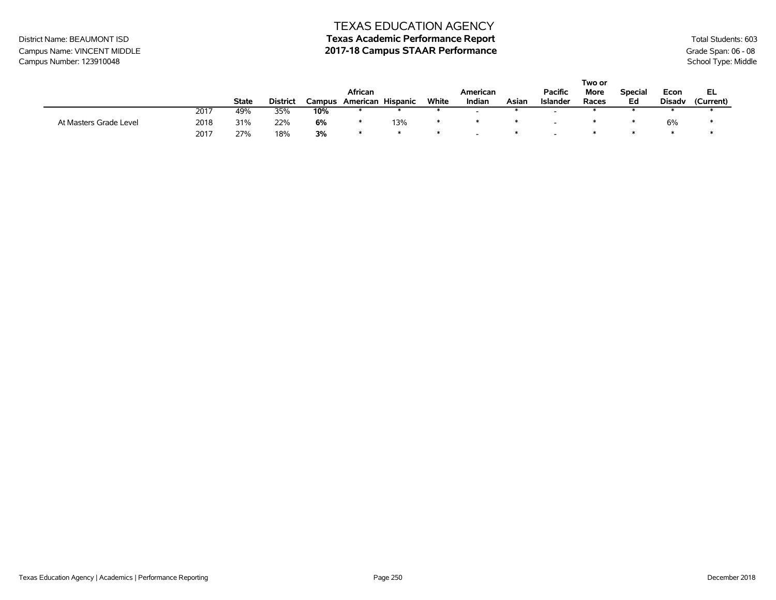# District Name: BEAUMONT ISD **Texas Academic Performance Report Texas Academic Performance Report** Total Students: 603

### Campus Name: VINCENT MIDDLE **2017-18 Campus STAAR Performance** Grade Span: 06 - 08<br>Campus Number: 123910048<br>School Type: Middle Campus Number: 123910048

|                        |      |       |                 |        |          |          |       |          |       |                 | Two or |                |               |           |
|------------------------|------|-------|-----------------|--------|----------|----------|-------|----------|-------|-----------------|--------|----------------|---------------|-----------|
|                        |      |       |                 |        | African  |          |       | American |       | <b>Pacific</b>  | More   | <b>Special</b> | Econ          | EL        |
|                        |      | State | <b>District</b> | Campus | American | Hispanic | White | Indian   | Asian | <b>Islander</b> | Races  | Ed             | <b>Disady</b> | (Current) |
|                        | 2017 | 49%   | 35%             | 10%    |          |          |       |          |       |                 |        |                |               |           |
| At Masters Grade Level | 2018 | 31%   | 22%             | 6%     |          | 13%      |       |          |       |                 |        |                | 6%            |           |
|                        | 2017 | 27%   | 18%             | 3%     |          |          |       |          |       |                 |        |                |               |           |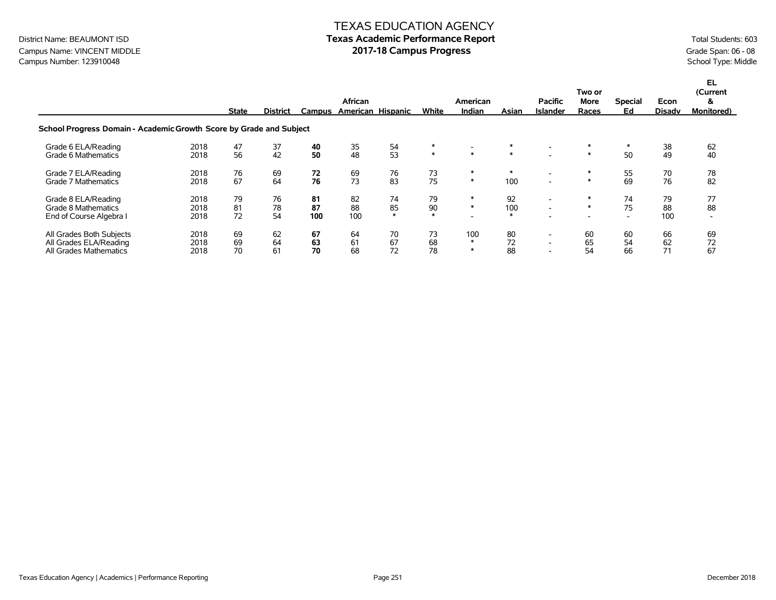### Campus Name: VINCENT MIDDLE **1998 12017-18 Campus Progress Campus Progress** Grade Span: 06 - 08<br>Campus Number: 123910048 School Type: Middle Campus Number: 123910048

|                                                                              |                      | <b>State</b>   | <b>District</b> | Campus          | African         | American Hispanic  | White              | American<br>Indian      | Asian               | <b>Pacific</b><br><b>Islander</b>                                                | Two or<br>More<br>Races | <b>Special</b><br>Ed                 | Econ<br><b>Disadv</b> | EL.<br>(Current<br>&<br><b>Monitored</b> ) |
|------------------------------------------------------------------------------|----------------------|----------------|-----------------|-----------------|-----------------|--------------------|--------------------|-------------------------|---------------------|----------------------------------------------------------------------------------|-------------------------|--------------------------------------|-----------------------|--------------------------------------------|
| School Progress Domain - Academic Growth Score by Grade and Subject          |                      |                |                 |                 |                 |                    |                    |                         |                     |                                                                                  |                         |                                      |                       |                                            |
| Grade 6 ELA/Reading<br>Grade 6 Mathematics                                   | 2018<br>2018         | 47<br>56       | 37<br>42        | 40<br>50        | 35<br>48        | 54<br>53           | $\ast$<br>$\ast$   | $*$                     | $\ast$              |                                                                                  | $\ast$                  | $\ast$<br>50                         | 38<br>49              | 62<br>40                                   |
| Grade 7 ELA/Reading<br>Grade 7 Mathematics                                   | 2018<br>2018         | 76<br>67       | 69<br>64        | 72<br>76        | 69<br>73        | 76<br>83           | 73<br>75           | $\ast$<br>$\ast$        | $\ast$<br>100       | $\overline{\phantom{0}}$                                                         | $\ast$                  | 55<br>69                             | 70<br>76              | 78<br>82                                   |
| Grade 8 ELA/Reading<br>Grade 8 Mathematics<br>End of Course Algebra I        | 2018<br>2018<br>2018 | 79<br>81<br>72 | 76<br>78<br>54  | 81<br>87<br>100 | 82<br>88<br>100 | 74<br>85<br>$\ast$ | 79<br>90<br>$\ast$ | ∗<br>$\ast$             | 92<br>100<br>$\ast$ | $\overline{\phantom{a}}$                                                         | $\ast$<br>∗             | 74<br>75<br>$\overline{\phantom{a}}$ | 79<br>88<br>100       | 77<br>88<br>$\overline{\phantom{a}}$       |
| All Grades Both Subjects<br>All Grades ELA/Reading<br>All Grades Mathematics | 2018<br>2018<br>2018 | 69<br>69<br>70 | 62<br>64<br>61  | 67<br>63<br>70  | 64<br>61<br>68  | 70<br>67<br>72     | 73<br>68<br>78     | 100<br>$\ast$<br>$\ast$ | 80<br>72<br>88      | $\overline{\phantom{0}}$<br>$\overline{\phantom{0}}$<br>$\overline{\phantom{a}}$ | 60<br>65<br>54          | 60<br>54<br>66                       | 66<br>62<br>71        | 69<br>72<br>67                             |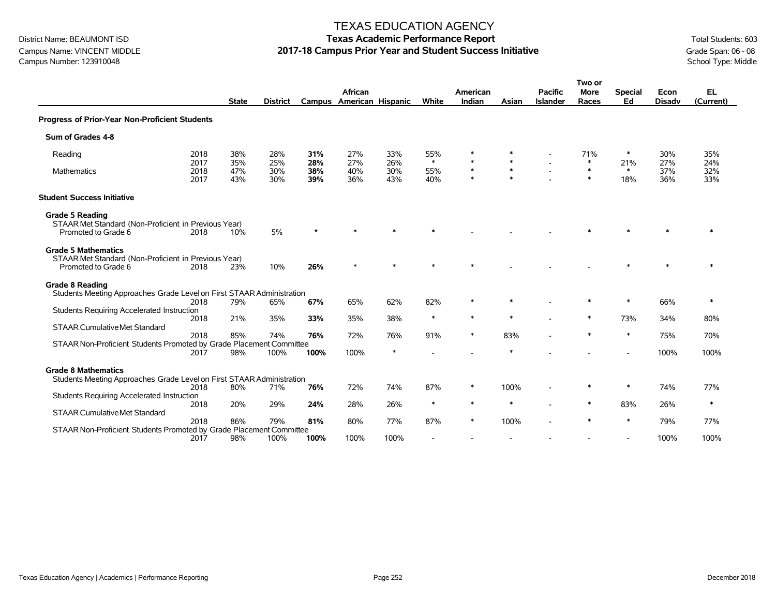### Campus Name: VINCENT MIDDLE **2017-18 Campus Prior Year and Student Success Initiative** Grade Span: 06 - 08<br>Campus Number: 123910048<br>School Type: Middle Campus Number: 123910048

#### TEXAS EDUCATION AGENCY

|                                                                                                           |                      | <b>State</b>      | <b>District</b>   |                   | African<br>Campus American Hispanic |                   | White                    | American<br>Indian     | Asian            | <b>Pacific</b><br><b>Islander</b> | Two or<br><b>More</b><br>Races | <b>Special</b><br>Ed | Econ<br><b>Disadv</b> | EL<br>(Current)   |
|-----------------------------------------------------------------------------------------------------------|----------------------|-------------------|-------------------|-------------------|-------------------------------------|-------------------|--------------------------|------------------------|------------------|-----------------------------------|--------------------------------|----------------------|-----------------------|-------------------|
| Progress of Prior-Year Non-Proficient Students                                                            |                      |                   |                   |                   |                                     |                   |                          |                        |                  |                                   |                                |                      |                       |                   |
| Sum of Grades 4-8                                                                                         |                      |                   |                   |                   |                                     |                   |                          |                        |                  |                                   |                                |                      |                       |                   |
| Reading                                                                                                   | 2018                 | 38%               | 28%               | 31%               | 27%                                 | 33%               | 55%<br>$\ast$            | $\ast$<br>$\pmb{\ast}$ | $\ast$           |                                   | 71%<br>$\ast$                  | ∗                    | 30%                   | 35%               |
| <b>Mathematics</b>                                                                                        | 2017<br>2018<br>2017 | 35%<br>47%<br>43% | 25%<br>30%<br>30% | 28%<br>38%<br>39% | 27%<br>40%<br>36%                   | 26%<br>30%<br>43% | 55%<br>40%               | $\ast$<br>$\ast$       | $\ast$<br>$\ast$ |                                   | $\ast$<br>$\ast$               | 21%<br>$*$<br>18%    | 27%<br>37%<br>36%     | 24%<br>32%<br>33% |
| <b>Student Success Initiative</b>                                                                         |                      |                   |                   |                   |                                     |                   |                          |                        |                  |                                   |                                |                      |                       |                   |
| <b>Grade 5 Reading</b><br>STAAR Met Standard (Non-Proficient in Previous Year)<br>Promoted to Grade 6     | 2018                 | 10%               | 5%                |                   |                                     |                   |                          |                        |                  |                                   |                                |                      |                       |                   |
| <b>Grade 5 Mathematics</b><br>STAAR Met Standard (Non-Proficient in Previous Year)<br>Promoted to Grade 6 | 2018                 | 23%               | 10%               | 26%               |                                     |                   |                          | $\ast$                 |                  |                                   |                                |                      |                       |                   |
| <b>Grade 8 Reading</b><br>Students Meeting Approaches Grade Level on First STAAR Administration           |                      |                   |                   |                   |                                     |                   |                          |                        |                  |                                   |                                |                      |                       |                   |
| Students Requiring Accelerated Instruction                                                                | 2018                 | 79%               | 65%               | 67%               | 65%                                 | 62%               | 82%                      | $\ast$                 |                  |                                   |                                | $\ast$               | 66%                   | $\ast$            |
| <b>STAAR Cumulative Met Standard</b>                                                                      | 2018                 | 21%               | 35%               | 33%               | 35%                                 | 38%               | $\ast$                   | $\ast$                 | $\ast$           |                                   | *                              | 73%                  | 34%                   | 80%               |
| STAAR Non-Proficient Students Promoted by Grade Placement Committee                                       | 2018                 | 85%               | 74%               | 76%               | 72%                                 | 76%               | 91%                      | $\ast$                 | 83%              |                                   | $\ast$                         | $\ast$               | 75%                   | 70%               |
|                                                                                                           | 2017                 | 98%               | 100%              | 100%              | 100%                                | $\ast$            |                          |                        |                  |                                   |                                |                      | 100%                  | 100%              |
| <b>Grade 8 Mathematics</b><br>Students Meeting Approaches Grade Level on First STAAR Administration       |                      |                   |                   |                   |                                     |                   |                          |                        |                  |                                   |                                |                      |                       |                   |
| Students Requiring Accelerated Instruction                                                                | 2018                 | 80%               | 71%               | 76%               | 72%                                 | 74%               | 87%                      | $\ast$                 | 100%             |                                   | $\ast$                         | $\ast$               | 74%                   | 77%               |
| <b>STAAR Cumulative Met Standard</b>                                                                      | 2018                 | 20%               | 29%               | 24%               | 28%                                 | 26%               | $\ast$                   | $\ast$                 | $\ast$           |                                   | $\ast$                         | 83%                  | 26%                   | $\ast$            |
| STAAR Non-Proficient Students Promoted by Grade Placement Committee                                       | 2018                 | 86%               | 79%               | 81%               | 80%                                 | 77%               | 87%                      | $\ast$                 | 100%             |                                   | $\ast$                         | $\ast$               | 79%                   | 77%               |
|                                                                                                           | 2017                 | 98%               | 100%              | 100%              | 100%                                | 100%              | $\overline{\phantom{a}}$ |                        |                  |                                   |                                |                      | 100%                  | 100%              |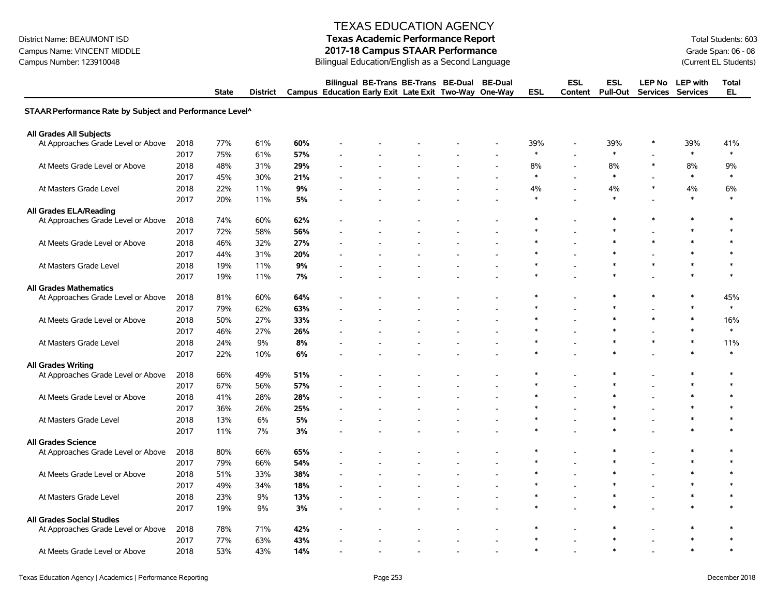Campus Name: VINCENT MIDDLE **2017-18 Campus STAAR Performance**<br>Campus Number: 123910048 Campus Campus Number: 123910048 Campus State Students)

#### TEXAS EDUCATION AGENCY

### District Name: BEAUMONT ISD **Texas Academic Performance Report Texas Academic Performance Report** Total Students: 603 Bilingual Education/English as a Second Language

|                                                          |      | <b>State</b> | District |     | Bilingual BE-Trans BE-Trans BE-Dual<br>Campus Education Early Exit Late Exit Two-Way One-Way |  | <b>BE-Dual</b> | <b>ESL</b> | <b>ESL</b><br>Content | ESL<br><b>Pull-Out</b> |        | LEP No LEP with<br>Services Services | <b>Total</b><br><b>EL</b> |
|----------------------------------------------------------|------|--------------|----------|-----|----------------------------------------------------------------------------------------------|--|----------------|------------|-----------------------|------------------------|--------|--------------------------------------|---------------------------|
| STAAR Performance Rate by Subject and Performance Level^ |      |              |          |     |                                                                                              |  |                |            |                       |                        |        |                                      |                           |
| All Grades All Subjects                                  |      |              |          |     |                                                                                              |  |                |            |                       |                        |        |                                      |                           |
| At Approaches Grade Level or Above                       | 2018 | 77%          | 61%      | 60% |                                                                                              |  |                | 39%        |                       | 39%                    | $\ast$ | 39%                                  | 41%                       |
|                                                          | 2017 | 75%          | 61%      | 57% |                                                                                              |  |                | $\ast$     |                       | $\ast$                 |        | $\ast$                               | $\ast$                    |
| At Meets Grade Level or Above                            | 2018 | 48%          | 31%      | 29% |                                                                                              |  |                | 8%         | $\blacksquare$        | 8%                     | $\ast$ | 8%                                   | 9%                        |
|                                                          | 2017 | 45%          | 30%      | 21% |                                                                                              |  |                | $\ast$     |                       | $\ast$                 |        | $\ast$                               | $\ast$                    |
| At Masters Grade Level                                   | 2018 | 22%          | 11%      | 9%  |                                                                                              |  |                | 4%         |                       | 4%                     | $\ast$ | 4%                                   | 6%                        |
|                                                          | 2017 | 20%          | 11%      | 5%  |                                                                                              |  |                | $\ast$     |                       | $\ast$                 |        | $\ast$                               | $\ast$                    |
| <b>All Grades ELA/Reading</b>                            |      |              |          |     |                                                                                              |  |                |            |                       |                        |        |                                      |                           |
| At Approaches Grade Level or Above                       | 2018 | 74%          | 60%      | 62% |                                                                                              |  |                |            |                       |                        |        |                                      | $\ast$                    |
|                                                          | 2017 | 72%          | 58%      | 56% |                                                                                              |  |                |            |                       |                        |        | $\ast$                               | $\ast$                    |
| At Meets Grade Level or Above                            | 2018 | 46%          | 32%      | 27% |                                                                                              |  |                |            |                       |                        | $\ast$ |                                      | $\ast$                    |
|                                                          | 2017 | 44%          | 31%      | 20% |                                                                                              |  |                |            |                       |                        |        |                                      | $\ast$                    |
| At Masters Grade Level                                   | 2018 | 19%          | 11%      | 9%  |                                                                                              |  |                |            |                       |                        | $\ast$ | $\ast$                               | $\ast$                    |
|                                                          | 2017 | 19%          | 11%      | 7%  |                                                                                              |  |                |            |                       |                        |        |                                      | $\ast$                    |
| <b>All Grades Mathematics</b>                            |      |              |          |     |                                                                                              |  |                |            |                       |                        |        |                                      |                           |
| At Approaches Grade Level or Above                       | 2018 | 81%          | 60%      | 64% |                                                                                              |  |                |            |                       |                        | *      | *                                    | 45%                       |
|                                                          | 2017 | 79%          | 62%      | 63% |                                                                                              |  |                |            |                       |                        |        | $\ast$                               | $\ast$                    |
| At Meets Grade Level or Above                            | 2018 | 50%          | 27%      | 33% |                                                                                              |  |                |            |                       |                        | $\ast$ | $\ast$                               | 16%                       |
|                                                          | 2017 | 46%          | 27%      | 26% |                                                                                              |  |                |            |                       |                        |        | $\ast$                               | $\ast$                    |
| At Masters Grade Level                                   | 2018 | 24%          | 9%       | 8%  |                                                                                              |  |                |            |                       | $\ast$                 | $\ast$ | $\ast$                               | 11%                       |
|                                                          | 2017 | 22%          | 10%      | 6%  |                                                                                              |  |                |            |                       |                        |        |                                      | $\ast$                    |
| <b>All Grades Writing</b>                                |      |              |          |     |                                                                                              |  |                |            |                       |                        |        |                                      |                           |
| At Approaches Grade Level or Above                       | 2018 | 66%          | 49%      | 51% |                                                                                              |  |                |            |                       | $\ast$                 |        | $\ast$                               | $\ast$                    |
|                                                          | 2017 | 67%          | 56%      | 57% |                                                                                              |  |                |            |                       |                        |        | *                                    | $\ast$                    |
| At Meets Grade Level or Above                            | 2018 | 41%          | 28%      | 28% |                                                                                              |  |                |            |                       |                        |        |                                      | $\ast$                    |
|                                                          | 2017 | 36%          | 26%      | 25% |                                                                                              |  |                |            |                       |                        |        |                                      | $\ast$                    |
| At Masters Grade Level                                   | 2018 | 13%          | 6%       | 5%  |                                                                                              |  |                |            |                       | $\ast$                 |        | $\ast$                               | $\ast$                    |
|                                                          | 2017 | 11%          | 7%       | 3%  |                                                                                              |  |                |            |                       |                        |        | $\ast$                               | $\ast$                    |
| <b>All Grades Science</b>                                |      |              |          |     |                                                                                              |  |                |            |                       |                        |        |                                      |                           |
| At Approaches Grade Level or Above                       | 2018 | 80%          | 66%      | 65% |                                                                                              |  |                |            |                       | $\ast$                 |        | $\ast$                               | $\ast$                    |
|                                                          | 2017 | 79%          | 66%      | 54% |                                                                                              |  |                |            |                       | *                      |        | $\ast$                               | $\ast$                    |
| At Meets Grade Level or Above                            | 2018 | 51%          | 33%      | 38% |                                                                                              |  |                |            |                       |                        |        |                                      | $\ast$                    |
|                                                          | 2017 | 49%          | 34%      | 18% |                                                                                              |  |                |            |                       |                        |        | $\ast$                               | $\ast$                    |
| At Masters Grade Level                                   | 2018 | 23%          | 9%       | 13% |                                                                                              |  |                |            |                       | $\ast$                 |        | $\ast$                               | $\ast$                    |
|                                                          | 2017 | 19%          | 9%       | 3%  |                                                                                              |  |                |            |                       |                        |        |                                      | <b>x</b>                  |
| <b>All Grades Social Studies</b>                         |      |              |          |     |                                                                                              |  |                |            |                       |                        |        |                                      |                           |
| At Approaches Grade Level or Above                       | 2018 | 78%          | 71%      | 42% |                                                                                              |  |                |            |                       |                        |        | ∗                                    | $\ast$                    |
|                                                          | 2017 | 77%          | 63%      | 43% |                                                                                              |  |                |            |                       |                        |        |                                      |                           |
| At Meets Grade Level or Above                            | 2018 | 53%          | 43%      | 14% |                                                                                              |  |                |            |                       |                        |        |                                      |                           |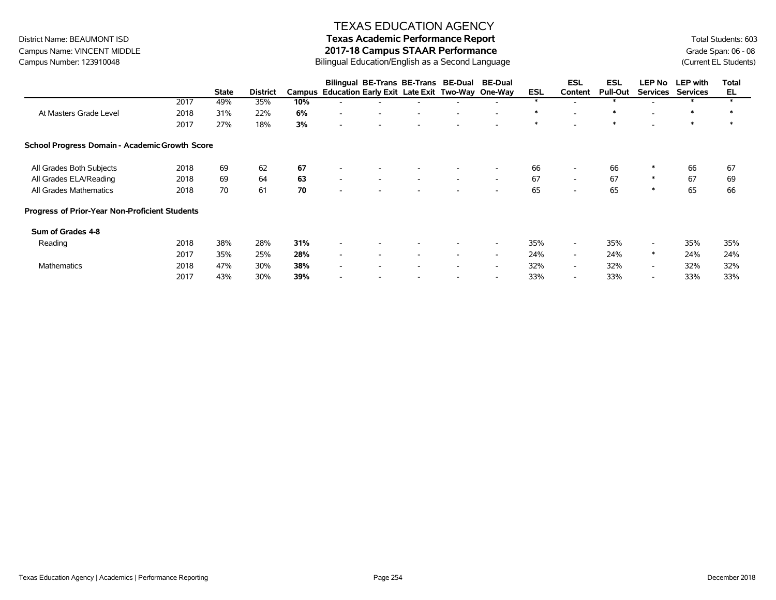# Campus Name: VINCENT MIDDLE **2017-18 Campus STAAR Performance**<br>Campus Number: 123910048 Campus Campus Number: 123910048 Campus State Students)

#### TEXAS EDUCATION AGENCY

# District Name: BEAUMONT ISD **Texas Academic Performance Report Texas Academic Performance Report** Total Students: 603

Bilingual Education/English as a Second Language

|                                                |      |              |                 |     | Bilingual BE-Trans BE-Trans BE-Dual                   |                          |                          | <b>BE-Dual</b>           |            | <b>ESL</b>               | ESL             | <b>LEP No</b>            | <b>LEP</b> with | Total |
|------------------------------------------------|------|--------------|-----------------|-----|-------------------------------------------------------|--------------------------|--------------------------|--------------------------|------------|--------------------------|-----------------|--------------------------|-----------------|-------|
|                                                |      | <b>State</b> | <b>District</b> |     | Campus Education Early Exit Late Exit Two-Way One-Way |                          |                          |                          | <b>ESL</b> | Content                  | <b>Pull-Out</b> | <b>Services</b>          | <b>Services</b> | EL    |
|                                                | 2017 | 49%          | 35%             | 10% |                                                       |                          |                          |                          | $\star$    |                          |                 |                          |                 |       |
| At Masters Grade Level                         | 2018 | 31%          | 22%             | 6%  | $\overline{\phantom{a}}$<br>$\overline{\phantom{a}}$  | $\overline{\phantom{a}}$ | $\overline{\phantom{a}}$ | $\overline{\phantom{0}}$ | $\ast$     | $\overline{\phantom{a}}$ | $\ast$          |                          | $\ast$          | ∗     |
|                                                | 2017 | 27%          | 18%             | 3%  | $\overline{\phantom{a}}$                              |                          |                          |                          | $\ast$     |                          | $\ast$          |                          | $\ast$          | ∗     |
| School Progress Domain - Academic Growth Score |      |              |                 |     |                                                       |                          |                          |                          |            |                          |                 |                          |                 |       |
| All Grades Both Subjects                       | 2018 | 69           | 62              | 67  | $\overline{\phantom{a}}$                              |                          |                          | $\overline{\phantom{a}}$ | 66         | $\overline{\phantom{a}}$ | 66              | ∗                        | 66              | 67    |
| All Grades ELA/Reading                         | 2018 | 69           | 64              | 63  | $\overline{\phantom{a}}$<br>$\overline{\phantom{a}}$  | $\overline{\phantom{a}}$ | $\overline{\phantom{a}}$ | $\overline{\phantom{a}}$ | 67         | $\overline{\phantom{a}}$ | 67              | $\ast$                   | 67              | 69    |
| All Grades Mathematics                         | 2018 | 70           | 61              | 70  | $\overline{\phantom{a}}$                              |                          |                          | $\overline{\phantom{a}}$ | 65         | $\overline{\phantom{a}}$ | 65              | $\ast$                   | 65              | 66    |
| Progress of Prior-Year Non-Proficient Students |      |              |                 |     |                                                       |                          |                          |                          |            |                          |                 |                          |                 |       |
| Sum of Grades 4-8                              |      |              |                 |     |                                                       |                          |                          |                          |            |                          |                 |                          |                 |       |
| Reading                                        | 2018 | 38%          | 28%             | 31% | $\overline{\phantom{a}}$                              |                          |                          | $\overline{\phantom{0}}$ | 35%        | $\sim$                   | 35%             | $\overline{\phantom{a}}$ | 35%             | 35%   |
|                                                | 2017 | 35%          | 25%             | 28% | $\overline{\phantom{a}}$<br>$\overline{\phantom{a}}$  | $\overline{\phantom{a}}$ | $\overline{\phantom{a}}$ | $\overline{\phantom{0}}$ | 24%        | $\sim$                   | 24%             | $\ast$                   | 24%             | 24%   |
| <b>Mathematics</b>                             | 2018 | 47%          | 30%             | 38% | $\overline{\phantom{a}}$                              |                          | $\overline{\phantom{a}}$ | $\overline{\phantom{a}}$ | 32%        | $\overline{\phantom{a}}$ | 32%             | $\sim$                   | 32%             | 32%   |
|                                                | 2017 | 43%          | 30%             | 39% | $\overline{\phantom{0}}$                              |                          | $\overline{\phantom{a}}$ | $\overline{\phantom{a}}$ | 33%        | $\overline{\phantom{a}}$ | 33%             | $\overline{\phantom{0}}$ | 33%             | 33%   |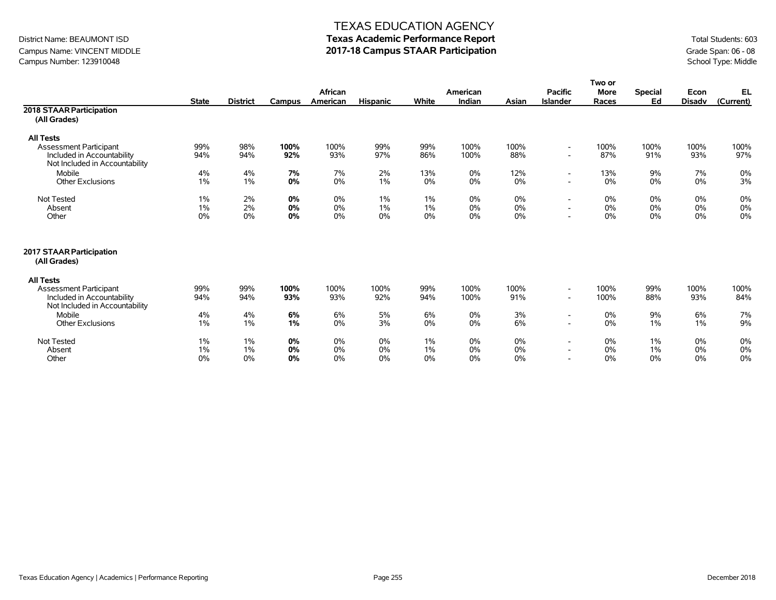### Campus Name: VINCENT MIDDLE **2017-18 Campus STAAR Participation**<br>Campus Number: 123910048 School Type: Middle Campus Number: 123910048

#### TEXAS EDUCATION AGENCY

|                                                              |              |                 |               |                |                 |            |              |             |                          | Two or       |                |               |             |
|--------------------------------------------------------------|--------------|-----------------|---------------|----------------|-----------------|------------|--------------|-------------|--------------------------|--------------|----------------|---------------|-------------|
|                                                              |              |                 |               | <b>African</b> |                 |            | American     |             | <b>Pacific</b>           | <b>More</b>  | <b>Special</b> | Econ          | EL          |
|                                                              | <b>State</b> | <b>District</b> | <b>Campus</b> | American       | <b>Hispanic</b> | White      | Indian       | Asian       | <b>Islander</b>          | Races        | Ed             | <b>Disadv</b> | (Current)   |
| 2018 STAAR Participation                                     |              |                 |               |                |                 |            |              |             |                          |              |                |               |             |
| (All Grades)                                                 |              |                 |               |                |                 |            |              |             |                          |              |                |               |             |
| <b>All Tests</b>                                             |              |                 |               |                |                 |            |              |             |                          |              |                |               |             |
| <b>Assessment Participant</b>                                | 99%          | 98%             | 100%          | 100%           | 99%             | 99%        | 100%         | 100%        |                          | 100%         | 100%           | 100%          | 100%        |
| Included in Accountability<br>Not Included in Accountability | 94%          | 94%             | 92%           | 93%            | 97%             | 86%        | 100%         | 88%         |                          | 87%          | 91%            | 93%           | 97%         |
| Mobile                                                       | 4%           | 4%              | 7%            | 7%             | 2%              | 13%        | 0%           | 12%         | $\overline{\phantom{a}}$ | 13%          | 9%             | 7%            | 0%          |
| <b>Other Exclusions</b>                                      | 1%           | 1%              | 0%            | 0%             | 1%              | 0%         | 0%           | 0%          |                          | 0%           | 0%             | 0%            | 3%          |
| Not Tested                                                   | 1%           | 2%              | 0%            | 0%             | 1%              | 1%         | 0%           | 0%          | $\overline{\phantom{a}}$ | 0%           | $0\%$          | 0%            | 0%          |
| Absent                                                       | 1%           | 2%              | 0%            | 0%             | 1%              | 1%         | 0%           | 0%          |                          | 0%           | 0%             | 0%            | 0%          |
| Other                                                        | 0%           | 0%              | 0%            | 0%             | 0%              | 0%         | 0%           | 0%          | $\overline{\phantom{0}}$ | 0%           | 0%             | 0%            | 0%          |
| 2017 STAAR Participation<br>(All Grades)                     |              |                 |               |                |                 |            |              |             |                          |              |                |               |             |
| <b>All Tests</b>                                             |              |                 |               |                |                 |            |              |             |                          |              |                |               |             |
| Assessment Participant<br>Included in Accountability         | 99%<br>94%   | 99%<br>94%      | 100%<br>93%   | 100%<br>93%    | 100%<br>92%     | 99%<br>94% | 100%<br>100% | 100%<br>91% |                          | 100%<br>100% | 99%<br>88%     | 100%<br>93%   | 100%<br>84% |
| Not Included in Accountability                               |              |                 |               |                |                 |            |              |             |                          |              |                |               |             |
| Mobile                                                       | 4%           | 4%              | 6%            | 6%             | 5%              | 6%         | 0%           | 3%          | $\overline{\phantom{0}}$ | 0%           | 9%             | 6%            | 7%          |
| Other Exclusions                                             | $1\%$        | 1%              | 1%            | 0%             | 3%              | 0%         | 0%           | 6%          |                          | 0%           | $1\%$          | 1%            | 9%          |
| Not Tested                                                   | 1%           | 1%              | 0%            | 0%             | 0%              | 1%         | 0%           | 0%          | $\overline{\phantom{a}}$ | 0%           | $1\%$          | 0%            | 0%          |
| Absent                                                       | 1%           | 1%              | 0%            | 0%             | 0%              | $1\%$      | 0%           | 0%          | $\overline{\phantom{a}}$ | 0%           | $1\%$          | 0%            | 0%          |
| Other                                                        | 0%           | 0%              | 0%            | 0%             | 0%              | 0%         | 0%           | 0%          | $\sim$                   | 0%           | 0%             | 0%            | 0%          |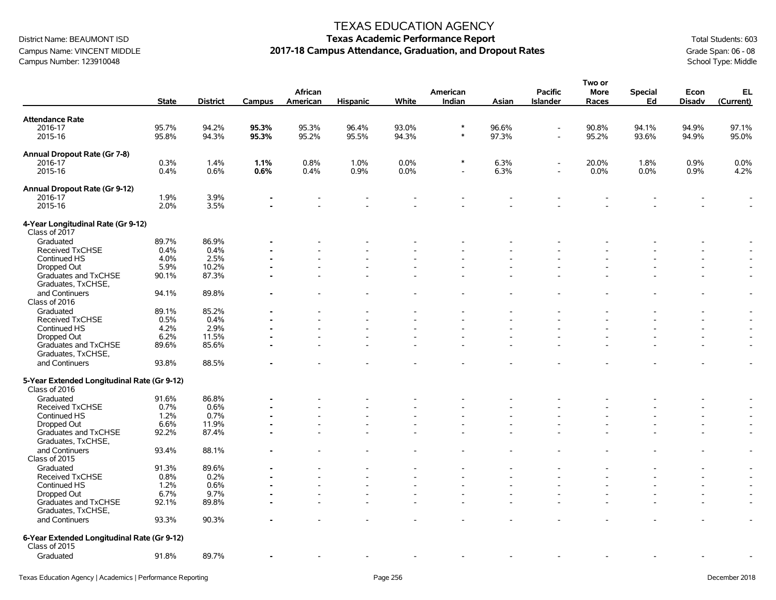Campus Name: VINCENT MIDDLE **2017-18 Campus Attendance, Graduation, and Dropout Rates** Grade Span: 06 - 08 Grade Span: 06 - 08 Campus Attendance, Graduation, and Dropout Rates Campus Number: 123910048 School Type: Middle Campus Number: 123910048

## District Name: BEAUMONT ISD **Texas Academic Performance Report Texas Academic Performance Report** Total Students: 603

**Two or**

|                                                              |              |                 |        |                          |                 |       |                    |       |                                   | I WU UI              |                      |                          |                          |
|--------------------------------------------------------------|--------------|-----------------|--------|--------------------------|-----------------|-------|--------------------|-------|-----------------------------------|----------------------|----------------------|--------------------------|--------------------------|
|                                                              | <b>State</b> | <b>District</b> | Campus | African<br>American      | <b>Hispanic</b> | White | American<br>Indian | Asian | <b>Pacific</b><br><b>Islander</b> | <b>More</b><br>Races | <b>Special</b><br>Ed | Econ<br><b>Disadv</b>    | EL<br>(Current)          |
| <b>Attendance Rate</b>                                       |              |                 |        |                          |                 |       |                    |       |                                   |                      |                      |                          |                          |
| 2016-17                                                      | 95.7%        | 94.2%           | 95.3%  | 95.3%                    | 96.4%           | 93.0% | $\ast$             | 96.6% |                                   | 90.8%                | 94.1%                | 94.9%                    | 97.1%                    |
| 2015-16                                                      | 95.8%        | 94.3%           | 95.3%  | 95.2%                    | 95.5%           | 94.3% | $\ast$             | 97.3% | $\sim$                            | 95.2%                | 93.6%                | 94.9%                    | 95.0%                    |
| Annual Dropout Rate (Gr 7-8)                                 |              |                 |        |                          |                 |       |                    |       |                                   |                      |                      |                          |                          |
| 2016-17                                                      | 0.3%         | 1.4%            | 1.1%   | 0.8%                     | 1.0%            | 0.0%  | $\ast$             | 6.3%  | $\overline{\phantom{a}}$          | 20.0%                | 1.8%                 | 0.9%                     | 0.0%                     |
| 2015-16                                                      | 0.4%         | 0.6%            | 0.6%   | 0.4%                     | 0.9%            | 0.0%  |                    | 6.3%  | $\sim$                            | 0.0%                 | $0.0\%$              | 0.9%                     | 4.2%                     |
| Annual Dropout Rate (Gr 9-12)                                |              |                 |        |                          |                 |       |                    |       |                                   |                      |                      |                          |                          |
| 2016-17                                                      | 1.9%         | 3.9%            |        |                          |                 |       |                    |       |                                   |                      |                      |                          |                          |
| 2015-16                                                      | 2.0%         | 3.5%            |        |                          |                 |       |                    |       |                                   |                      |                      |                          |                          |
| 4-Year Longitudinal Rate (Gr 9-12)<br>Class of 2017          |              |                 |        |                          |                 |       |                    |       |                                   |                      |                      |                          |                          |
| Graduated                                                    | 89.7%        | 86.9%           |        |                          |                 |       |                    |       |                                   |                      |                      |                          |                          |
| <b>Received TxCHSE</b>                                       | 0.4%         | 0.4%            |        |                          |                 |       |                    |       |                                   |                      |                      |                          |                          |
| Continued HS                                                 | 4.0%         | 2.5%            |        |                          |                 |       |                    |       |                                   |                      |                      |                          |                          |
| Dropped Out                                                  | 5.9%         | 10.2%           |        |                          |                 |       |                    |       |                                   |                      |                      |                          |                          |
| Graduates and TxCHSE                                         | 90.1%        | 87.3%           |        |                          |                 |       |                    |       |                                   |                      |                      |                          |                          |
| Graduates, TxCHSE,                                           |              |                 |        |                          |                 |       |                    |       |                                   |                      |                      |                          |                          |
| and Continuers<br>Class of 2016                              | 94.1%        | 89.8%           |        |                          |                 |       |                    |       |                                   |                      |                      |                          |                          |
| Graduated                                                    | 89.1%        | 85.2%           |        |                          |                 |       |                    |       |                                   |                      |                      |                          |                          |
| Received TxCHSE                                              | 0.5%         | 0.4%            |        |                          |                 |       |                    |       |                                   |                      |                      |                          |                          |
|                                                              |              |                 |        |                          |                 |       |                    |       |                                   |                      |                      |                          |                          |
| Continued HS                                                 | 4.2%         | 2.9%            |        |                          |                 |       |                    |       |                                   |                      |                      |                          |                          |
| Dropped Out                                                  | 6.2%         | 11.5%           |        |                          |                 |       |                    |       |                                   |                      |                      |                          |                          |
| Graduates and TxCHSE<br>Graduates, TxCHSE,                   | 89.6%        | 85.6%           |        |                          |                 |       |                    |       |                                   |                      |                      |                          |                          |
| and Continuers                                               | 93.8%        | 88.5%           |        |                          |                 |       |                    |       |                                   |                      |                      |                          |                          |
| 5-Year Extended Longitudinal Rate (Gr 9-12)<br>Class of 2016 |              |                 |        |                          |                 |       |                    |       |                                   |                      |                      |                          |                          |
| Graduated                                                    | 91.6%        | 86.8%           |        |                          |                 |       |                    |       |                                   |                      |                      |                          |                          |
| <b>Received TxCHSE</b>                                       | 0.7%         | 0.6%            |        |                          |                 |       |                    |       |                                   |                      |                      |                          |                          |
| Continued HS                                                 | 1.2%         | 0.7%            |        |                          |                 |       |                    |       |                                   |                      |                      |                          |                          |
| Dropped Out                                                  | 6.6%         | 11.9%           |        | $\overline{\phantom{a}}$ |                 |       |                    |       |                                   |                      |                      | $\overline{a}$           |                          |
| Graduates and TxCHSE<br>Graduates, TxCHSE,                   | 92.2%        | 87.4%           |        |                          |                 |       |                    |       |                                   |                      |                      |                          |                          |
| and Continuers                                               | 93.4%        | 88.1%           |        |                          |                 |       |                    |       |                                   |                      |                      |                          | $\sim$                   |
| Class of 2015                                                |              |                 |        |                          |                 |       |                    |       |                                   |                      |                      |                          |                          |
| Graduated                                                    | 91.3%        | 89.6%           |        |                          |                 |       |                    |       |                                   |                      |                      | $\overline{a}$           |                          |
| <b>Received TxCHSE</b>                                       | 0.8%         | 0.2%            |        |                          |                 |       |                    |       |                                   |                      |                      |                          |                          |
| Continued HS                                                 | 1.2%         | 0.6%            |        |                          |                 |       |                    |       |                                   |                      |                      |                          |                          |
| Dropped Out                                                  | 6.7%         | 9.7%            |        |                          |                 |       |                    |       |                                   |                      |                      | $\overline{\phantom{a}}$ |                          |
| Graduates and TxCHSE<br>Graduates, TxCHSE,                   | 92.1%        | 89.8%           |        |                          |                 |       |                    |       |                                   |                      |                      |                          | $\overline{\phantom{a}}$ |
| and Continuers                                               | 93.3%        | 90.3%           |        |                          |                 |       |                    |       |                                   |                      |                      |                          |                          |
| 6-Year Extended Longitudinal Rate (Gr 9-12)                  |              |                 |        |                          |                 |       |                    |       |                                   |                      |                      |                          |                          |
| Class of 2015                                                |              |                 |        |                          |                 |       |                    |       |                                   |                      |                      |                          |                          |
| Graduated                                                    | 91.8%        | 89.7%           |        |                          |                 |       |                    |       |                                   |                      |                      |                          |                          |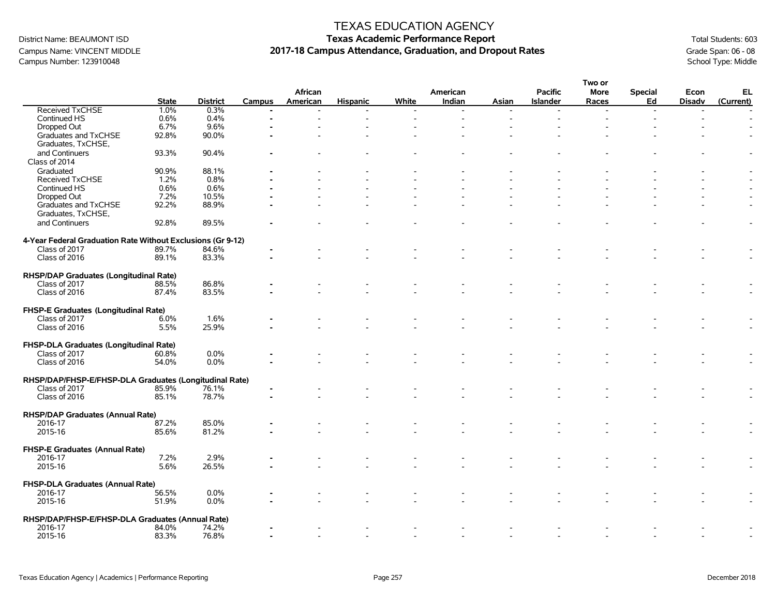### Campus Name: VINCENT MIDDLE **2017-18 Campus Attendance, Graduation, and Dropout Rates** Grade Span: 06 - 08 Grade Span: 06 - 08 Campus Attendance, Graduation, and Dropout Rates Campus Number: 123910048 School Type: Middle Campus Number: 123910048

#### TEXAS EDUCATION AGENCY

|                                                             |              |                 |               |          |                 |       |          |       |                 | Two or      |                          |               |           |
|-------------------------------------------------------------|--------------|-----------------|---------------|----------|-----------------|-------|----------|-------|-----------------|-------------|--------------------------|---------------|-----------|
|                                                             |              |                 |               | African  |                 |       | American |       | <b>Pacific</b>  | <b>More</b> | <b>Special</b>           | Econ          | EL        |
|                                                             | <b>State</b> | <b>District</b> | <b>Campus</b> | American | <b>Hispanic</b> | White | Indian   | Asian | <b>Islander</b> | Races       | Ed                       | <b>Disadv</b> | (Current) |
| <b>Received TxCHSE</b>                                      | 1.0%         | 0.3%            |               |          |                 |       |          |       |                 |             | $\overline{\phantom{a}}$ |               |           |
| Continued HS                                                | 0.6%         | 0.4%            |               |          |                 |       |          |       |                 |             |                          |               |           |
| Dropped Out                                                 | 6.7%         | 9.6%            |               |          |                 |       |          |       |                 |             |                          |               |           |
| Graduates and TxCHSE                                        | 92.8%        | 90.0%           |               |          |                 |       |          |       |                 |             |                          |               |           |
| Graduates, TxCHSE,                                          |              |                 |               |          |                 |       |          |       |                 |             |                          |               |           |
| and Continuers                                              | 93.3%        | 90.4%           |               |          |                 |       |          |       |                 |             |                          |               |           |
| Class of 2014                                               |              |                 |               |          |                 |       |          |       |                 |             |                          |               |           |
| Graduated                                                   | 90.9%        | 88.1%           |               |          |                 |       |          |       |                 |             |                          |               |           |
| <b>Received TxCHSE</b>                                      | 1.2%         | 0.8%            |               |          |                 |       |          |       |                 |             |                          |               |           |
| Continued HS                                                | 0.6%         | 0.6%            |               |          |                 |       |          |       |                 |             |                          |               |           |
| Dropped Out                                                 | 7.2%         | 10.5%           |               |          |                 |       |          |       |                 |             |                          |               |           |
| Graduates and TxCHSE                                        | 92.2%        | 88.9%           |               |          |                 |       |          |       |                 |             |                          |               |           |
|                                                             |              |                 |               |          |                 |       |          |       |                 |             |                          |               |           |
| Graduates, TxCHSE,                                          |              |                 |               |          |                 |       |          |       |                 |             |                          |               |           |
| and Continuers                                              | 92.8%        | 89.5%           |               |          |                 |       |          |       |                 |             |                          |               |           |
|                                                             |              |                 |               |          |                 |       |          |       |                 |             |                          |               |           |
| 4-Year Federal Graduation Rate Without Exclusions (Gr 9-12) |              |                 |               |          |                 |       |          |       |                 |             |                          |               |           |
| Class of 2017                                               | 89.7%        | 84.6%           |               |          |                 |       |          |       |                 |             |                          |               |           |
| Class of 2016                                               | 89.1%        | 83.3%           |               |          |                 |       |          |       |                 |             |                          |               |           |
|                                                             |              |                 |               |          |                 |       |          |       |                 |             |                          |               |           |
| RHSP/DAP Graduates (Longitudinal Rate)                      |              |                 |               |          |                 |       |          |       |                 |             |                          |               |           |
| Class of 2017                                               | 88.5%        | 86.8%           |               |          |                 |       |          |       |                 |             |                          |               |           |
| Class of 2016                                               | 87.4%        | 83.5%           |               |          |                 |       |          |       |                 |             |                          |               |           |
|                                                             |              |                 |               |          |                 |       |          |       |                 |             |                          |               |           |
| FHSP-E Graduates (Longitudinal Rate)                        |              |                 |               |          |                 |       |          |       |                 |             |                          |               |           |
| Class of 2017                                               | 6.0%         | 1.6%            |               |          |                 |       |          |       |                 |             |                          |               |           |
| Class of 2016                                               | 5.5%         | 25.9%           |               |          |                 |       |          |       |                 |             |                          |               |           |
|                                                             |              |                 |               |          |                 |       |          |       |                 |             |                          |               |           |
| FHSP-DLA Graduates (Longitudinal Rate)                      |              |                 |               |          |                 |       |          |       |                 |             |                          |               |           |
| Class of 2017                                               | 60.8%        | 0.0%            |               |          |                 |       |          |       |                 |             |                          |               |           |
| Class of 2016                                               | 54.0%        | 0.0%            |               |          |                 |       |          |       |                 |             |                          |               |           |
|                                                             |              |                 |               |          |                 |       |          |       |                 |             |                          |               |           |
| RHSP/DAP/FHSP-E/FHSP-DLA Graduates (Longitudinal Rate)      |              |                 |               |          |                 |       |          |       |                 |             |                          |               |           |
| Class of 2017                                               | 85.9%        | 76.1%           |               |          |                 |       |          |       |                 |             |                          |               |           |
| Class of 2016                                               | 85.1%        | 78.7%           |               |          |                 |       |          |       |                 |             |                          |               |           |
|                                                             |              |                 |               |          |                 |       |          |       |                 |             |                          |               |           |
| <b>RHSP/DAP Graduates (Annual Rate)</b>                     |              |                 |               |          |                 |       |          |       |                 |             |                          |               |           |
| 2016-17                                                     | 87.2%        | 85.0%           |               |          |                 |       |          |       |                 |             |                          |               |           |
| 2015-16                                                     | 85.6%        | 81.2%           |               |          |                 |       |          |       |                 |             |                          |               |           |
|                                                             |              |                 |               |          |                 |       |          |       |                 |             |                          |               |           |
| FHSP-E Graduates (Annual Rate)                              |              |                 |               |          |                 |       |          |       |                 |             |                          |               |           |
| 2016-17                                                     | 7.2%         | 2.9%            |               |          |                 |       |          |       |                 |             |                          |               |           |
| 2015-16                                                     | 5.6%         | 26.5%           |               |          |                 |       |          |       |                 |             |                          |               |           |
|                                                             |              |                 |               |          |                 |       |          |       |                 |             |                          |               |           |
|                                                             |              |                 |               |          |                 |       |          |       |                 |             |                          |               |           |
| FHSP-DLA Graduates (Annual Rate)                            |              |                 |               |          |                 |       |          |       |                 |             |                          |               |           |
| 2016-17                                                     | 56.5%        | 0.0%            |               |          |                 |       |          |       |                 |             |                          |               |           |
| 2015-16                                                     | 51.9%        | 0.0%            |               |          |                 |       |          |       |                 |             |                          |               |           |
|                                                             |              |                 |               |          |                 |       |          |       |                 |             |                          |               |           |
| RHSP/DAP/FHSP-E/FHSP-DLA Graduates (Annual Rate)            |              |                 |               |          |                 |       |          |       |                 |             |                          |               |           |
| 2016-17                                                     | 84.0%        | 74.2%           |               |          |                 |       |          |       |                 |             |                          |               |           |
| 2015-16                                                     | 83.3%        | 76.8%           |               |          |                 |       |          |       |                 |             |                          |               |           |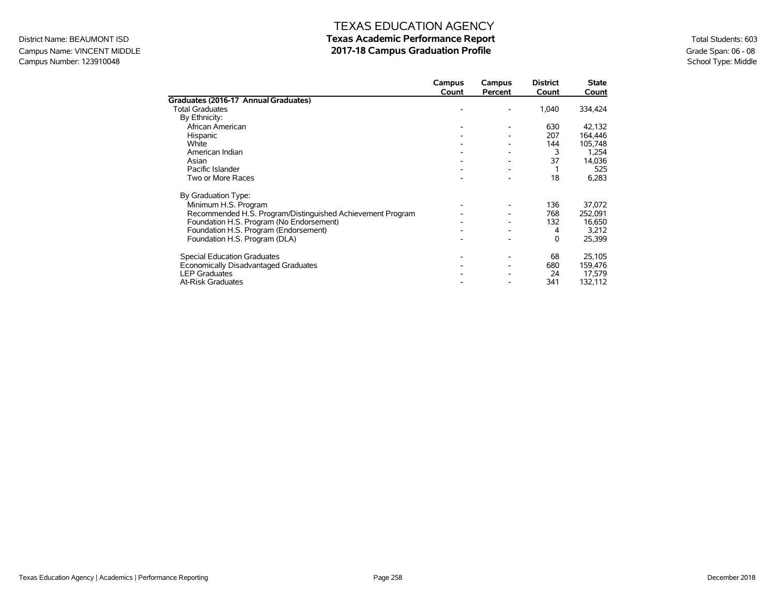### Campus Name: VINCENT MIDDLE **2017-18 Campus Graduation Profile** Campus Graduation Profile<br>Campus Number: 123910048<br>School Type: Middle Campus Number: 123910048

|                                                            | Campus | Campus  | <b>District</b> | <b>State</b> |
|------------------------------------------------------------|--------|---------|-----------------|--------------|
|                                                            | Count  | Percent | Count           | Count        |
| Graduates (2016-17 Annual Graduates)                       |        |         |                 |              |
| <b>Total Graduates</b>                                     |        |         | 1,040           | 334,424      |
| By Ethnicity:                                              |        |         |                 |              |
| African American                                           |        |         | 630             | 42,132       |
| Hispanic                                                   |        |         | 207             | 164,446      |
| White                                                      |        |         | 144             | 105,748      |
| American Indian                                            |        |         |                 | 1,254        |
| Asian                                                      |        |         | 37              | 14,036       |
| Pacific Islander                                           |        |         |                 | 525          |
| Two or More Races                                          |        |         | 18              | 6,283        |
| By Graduation Type:                                        |        |         |                 |              |
| Minimum H.S. Program                                       |        |         | 136             | 37,072       |
| Recommended H.S. Program/Distinguished Achievement Program |        |         | 768             | 252,091      |
| Foundation H.S. Program (No Endorsement)                   |        |         | 132             | 16,650       |
| Foundation H.S. Program (Endorsement)                      |        |         | 4               | 3,212        |
| Foundation H.S. Program (DLA)                              |        |         | 0               | 25,399       |
| <b>Special Education Graduates</b>                         |        |         | 68              | 25,105       |
| Economically Disadvantaged Graduates                       |        |         | 680             | 159,476      |
| <b>LEP Graduates</b>                                       |        |         | 24              | 17,579       |
| <b>At-Risk Graduates</b>                                   |        |         | 341             | 132,112      |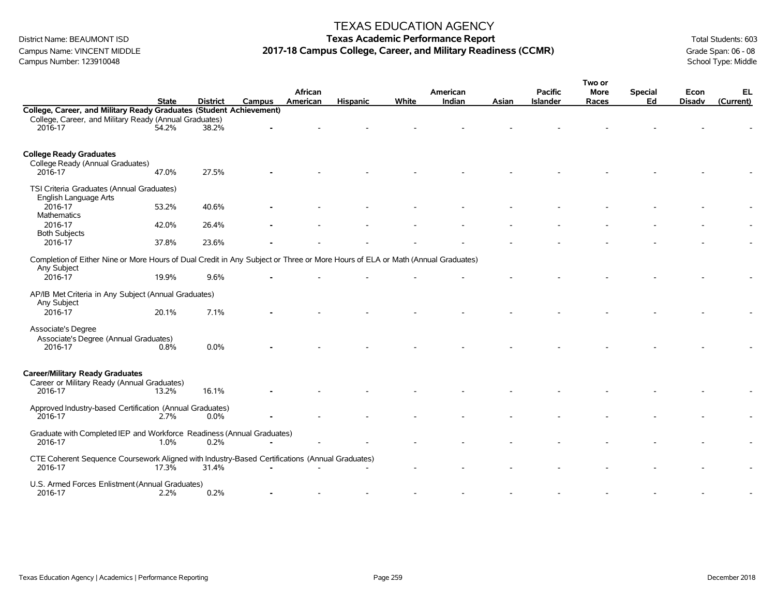### Campus Name: VINCENT MIDDLE **2017-18 Campus College, Career, and Military Readiness (CCMR)** Grade Span: 06 - 08<br>Campus Number: 123910048<br>School Type: Middle Campus Number: 123910048

#### TEXAS EDUCATION AGENCY

|                                                                                                                                |              |                 |        |          |                 |       |          |       |                 | Two or |                |               |           |
|--------------------------------------------------------------------------------------------------------------------------------|--------------|-----------------|--------|----------|-----------------|-------|----------|-------|-----------------|--------|----------------|---------------|-----------|
|                                                                                                                                |              |                 |        | African  |                 |       | American |       | <b>Pacific</b>  | More   | <b>Special</b> | Econ          | EL        |
|                                                                                                                                | <b>State</b> | <b>District</b> | Campus | American | <b>Hispanic</b> | White | Indian   | Asian | <b>Islander</b> | Races  | Ed             | <b>Disadv</b> | (Current) |
| College, Career, and Military Ready Graduates (Student Achievement)                                                            |              |                 |        |          |                 |       |          |       |                 |        |                |               |           |
| College, Career, and Military Ready (Annual Graduates)                                                                         |              |                 |        |          |                 |       |          |       |                 |        |                |               |           |
| 2016-17                                                                                                                        | 54.2%        | 38.2%           |        |          |                 |       |          |       |                 |        |                |               |           |
|                                                                                                                                |              |                 |        |          |                 |       |          |       |                 |        |                |               |           |
|                                                                                                                                |              |                 |        |          |                 |       |          |       |                 |        |                |               |           |
| <b>College Ready Graduates</b>                                                                                                 |              |                 |        |          |                 |       |          |       |                 |        |                |               |           |
| College Ready (Annual Graduates)<br>2016-17                                                                                    | 47.0%        | 27.5%           |        |          |                 |       |          |       |                 |        |                |               |           |
|                                                                                                                                |              |                 |        |          |                 |       |          |       |                 |        |                |               |           |
| TSI Criteria Graduates (Annual Graduates)                                                                                      |              |                 |        |          |                 |       |          |       |                 |        |                |               |           |
| English Language Arts                                                                                                          |              |                 |        |          |                 |       |          |       |                 |        |                |               |           |
| 2016-17                                                                                                                        | 53.2%        | 40.6%           |        |          |                 |       |          |       |                 |        |                |               |           |
| Mathematics                                                                                                                    |              |                 |        |          |                 |       |          |       |                 |        |                |               |           |
| 2016-17                                                                                                                        | 42.0%        | 26.4%           |        |          |                 |       |          |       |                 |        |                |               |           |
| <b>Both Subjects</b>                                                                                                           |              |                 |        |          |                 |       |          |       |                 |        |                |               |           |
| 2016-17                                                                                                                        | 37.8%        | 23.6%           |        |          |                 |       |          |       |                 |        |                |               |           |
|                                                                                                                                |              |                 |        |          |                 |       |          |       |                 |        |                |               |           |
| Completion of Either Nine or More Hours of Dual Credit in Any Subject or Three or More Hours of ELA or Math (Annual Graduates) |              |                 |        |          |                 |       |          |       |                 |        |                |               |           |
| Any Subject                                                                                                                    |              |                 |        |          |                 |       |          |       |                 |        |                |               |           |
| 2016-17                                                                                                                        | 19.9%        | 9.6%            |        |          |                 |       |          |       |                 |        |                |               |           |
| AP/IB Met Criteria in Any Subject (Annual Graduates)                                                                           |              |                 |        |          |                 |       |          |       |                 |        |                |               |           |
| Any Subject                                                                                                                    |              |                 |        |          |                 |       |          |       |                 |        |                |               |           |
| 2016-17                                                                                                                        | 20.1%        | 7.1%            |        |          |                 |       |          |       |                 |        |                |               |           |
|                                                                                                                                |              |                 |        |          |                 |       |          |       |                 |        |                |               |           |
| Associate's Degree                                                                                                             |              |                 |        |          |                 |       |          |       |                 |        |                |               |           |
| Associate's Degree (Annual Graduates)                                                                                          |              |                 |        |          |                 |       |          |       |                 |        |                |               |           |
| 2016-17                                                                                                                        | 0.8%         | 0.0%            |        |          |                 |       |          |       |                 |        |                |               |           |
|                                                                                                                                |              |                 |        |          |                 |       |          |       |                 |        |                |               |           |
|                                                                                                                                |              |                 |        |          |                 |       |          |       |                 |        |                |               |           |
| <b>Career/Military Ready Graduates</b>                                                                                         |              |                 |        |          |                 |       |          |       |                 |        |                |               |           |
| Career or Military Ready (Annual Graduates)                                                                                    |              |                 |        |          |                 |       |          |       |                 |        |                |               |           |
| 2016-17                                                                                                                        | 13.2%        | 16.1%           |        |          |                 |       |          |       |                 |        |                |               |           |
|                                                                                                                                |              |                 |        |          |                 |       |          |       |                 |        |                |               |           |
| Approved Industry-based Certification (Annual Graduates)<br>2016-17                                                            | 2.7%         | 0.0%            |        |          |                 |       |          |       |                 |        |                |               |           |
|                                                                                                                                |              |                 |        |          |                 |       |          |       |                 |        |                |               |           |
| Graduate with Completed IEP and Workforce Readiness (Annual Graduates)                                                         |              |                 |        |          |                 |       |          |       |                 |        |                |               |           |
| 2016-17                                                                                                                        | 1.0%         | 0.2%            |        |          |                 |       |          |       |                 |        |                |               |           |
|                                                                                                                                |              |                 |        |          |                 |       |          |       |                 |        |                |               |           |
| CTE Coherent Sequence Coursework Aligned with Industry-Based Certifications (Annual Graduates)                                 |              |                 |        |          |                 |       |          |       |                 |        |                |               |           |
| 2016-17                                                                                                                        | $17.3\%$     | 31.4%           |        |          |                 |       |          |       |                 |        |                |               |           |
|                                                                                                                                |              |                 |        |          |                 |       |          |       |                 |        |                |               |           |
| U.S. Armed Forces Enlistment (Annual Graduates)<br>2016-17                                                                     | 2.2%         | 0.2%            |        |          |                 |       |          |       |                 |        |                |               |           |
|                                                                                                                                |              |                 |        |          |                 |       |          |       |                 |        |                |               |           |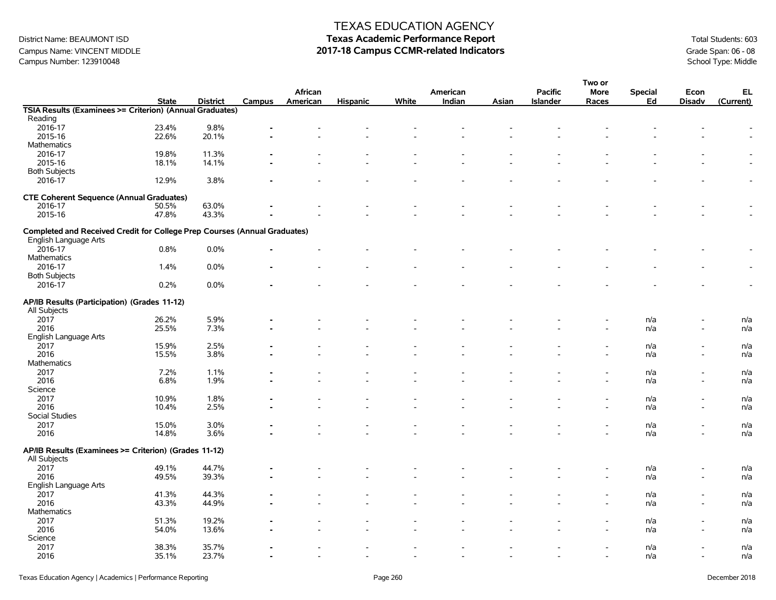### Campus Name: VINCENT MIDDLE **2017-18 Campus CCMR-related Indicators** Grade Span: 06 - 08<br>Campus Number: 123910048<br>School Type: Middle Campus Number: 123910048

### TEXAS EDUCATION AGENCY

|                                                                           |              |                 |        |          |                          |       |                          |       |                          | Two or      |                |                          |           |
|---------------------------------------------------------------------------|--------------|-----------------|--------|----------|--------------------------|-------|--------------------------|-------|--------------------------|-------------|----------------|--------------------------|-----------|
|                                                                           |              |                 |        | African  |                          |       | American                 |       | <b>Pacific</b>           | <b>More</b> | <b>Special</b> | Econ                     | EL        |
|                                                                           | <b>State</b> | <b>District</b> | Campus | American | <b>Hispanic</b>          | White | Indian                   | Asian | <b>Islander</b>          | Races       | Ed             | <b>Disadv</b>            | (Current) |
| TSIA Results (Examinees >= Criterion) (Annual Graduates)                  |              |                 |        |          |                          |       |                          |       |                          |             |                |                          |           |
| Reading                                                                   |              |                 |        |          |                          |       |                          |       |                          |             |                |                          |           |
| 2016-17                                                                   | 23.4%        | 9.8%            |        |          |                          |       |                          |       |                          |             |                |                          |           |
| 2015-16                                                                   | 22.6%        | 20.1%           |        |          |                          |       |                          |       |                          |             |                |                          |           |
| <b>Mathematics</b>                                                        |              |                 |        |          |                          |       |                          |       |                          |             |                |                          |           |
| 2016-17                                                                   | 19.8%        | 11.3%           |        |          |                          |       |                          |       |                          |             |                |                          |           |
| 2015-16                                                                   | 18.1%        | 14.1%           |        |          |                          |       |                          |       |                          |             |                |                          |           |
| <b>Both Subjects</b>                                                      |              |                 |        |          |                          |       |                          |       |                          |             |                |                          |           |
| 2016-17                                                                   | 12.9%        | 3.8%            |        |          |                          |       |                          |       |                          |             |                |                          |           |
|                                                                           |              |                 |        |          |                          |       |                          |       |                          |             |                |                          |           |
| <b>CTE Coherent Sequence (Annual Graduates)</b>                           |              |                 |        |          |                          |       |                          |       |                          |             |                |                          |           |
| 2016-17                                                                   | 50.5%        | 63.0%           |        |          |                          |       |                          |       |                          |             |                |                          |           |
| 2015-16                                                                   | 47.8%        | 43.3%           |        |          |                          |       |                          |       |                          |             |                |                          |           |
|                                                                           |              |                 |        |          |                          |       |                          |       |                          |             |                |                          |           |
| Completed and Received Credit for College Prep Courses (Annual Graduates) |              |                 |        |          |                          |       |                          |       |                          |             |                |                          |           |
|                                                                           |              |                 |        |          |                          |       |                          |       |                          |             |                |                          |           |
| English Language Arts                                                     |              |                 |        |          |                          |       |                          |       |                          |             |                |                          |           |
| 2016-17                                                                   | 0.8%         | 0.0%            |        |          |                          |       |                          |       |                          |             |                |                          |           |
| <b>Mathematics</b>                                                        |              |                 |        |          |                          |       |                          |       |                          |             |                |                          |           |
| 2016-17                                                                   | 1.4%         | 0.0%            |        |          |                          |       |                          |       |                          |             |                |                          |           |
| <b>Both Subjects</b>                                                      |              |                 |        |          |                          |       |                          |       |                          |             |                |                          |           |
| 2016-17                                                                   | 0.2%         | 0.0%            |        |          |                          |       |                          |       |                          |             |                |                          |           |
|                                                                           |              |                 |        |          |                          |       |                          |       |                          |             |                |                          |           |
| AP/IB Results (Participation) (Grades 11-12)                              |              |                 |        |          |                          |       |                          |       |                          |             |                |                          |           |
| All Subjects                                                              |              |                 |        |          |                          |       |                          |       |                          |             |                |                          |           |
| 2017                                                                      | 26.2%        | 5.9%            |        |          |                          |       |                          |       |                          |             | n/a            |                          | n/a       |
| 2016                                                                      | 25.5%        | 7.3%            |        |          |                          |       |                          |       |                          |             | n/a            |                          | n/a       |
| English Language Arts                                                     |              |                 |        |          |                          |       |                          |       |                          |             |                |                          |           |
| 2017                                                                      | 15.9%        | 2.5%            |        |          |                          |       |                          |       |                          |             |                |                          |           |
|                                                                           |              |                 |        |          |                          |       |                          |       |                          |             | n/a            |                          | n/a       |
| 2016                                                                      | 15.5%        | 3.8%            |        |          |                          |       |                          |       |                          |             | n/a            | $\overline{\phantom{a}}$ | n/a       |
| <b>Mathematics</b>                                                        |              |                 |        |          |                          |       |                          |       |                          |             |                |                          |           |
| 2017                                                                      | 7.2%         | 1.1%            |        |          |                          |       |                          |       |                          |             | n/a            | $\overline{\phantom{a}}$ | n/a       |
| 2016                                                                      | 6.8%         | 1.9%            |        |          |                          |       |                          |       |                          |             | n/a            | $\overline{\phantom{a}}$ | n/a       |
| Science                                                                   |              |                 |        |          |                          |       |                          |       |                          |             |                |                          |           |
| 2017                                                                      | 10.9%        | 1.8%            |        |          |                          |       |                          |       |                          |             | n/a            |                          | n/a       |
| 2016                                                                      | 10.4%        | 2.5%            |        |          |                          |       |                          |       |                          |             | n/a            | $\overline{\phantom{a}}$ | n/a       |
| Social Studies                                                            |              |                 |        |          |                          |       |                          |       |                          |             |                |                          |           |
| 2017                                                                      | 15.0%        | 3.0%            |        |          |                          |       |                          |       |                          |             | n/a            |                          | n/a       |
| 2016                                                                      | 14.8%        | 3.6%            |        |          |                          |       |                          |       |                          |             | n/a            |                          | n/a       |
|                                                                           |              |                 |        |          |                          |       |                          |       |                          |             |                |                          |           |
| AP/IB Results (Examinees >= Criterion) (Grades 11-12)                     |              |                 |        |          |                          |       |                          |       |                          |             |                |                          |           |
| All Subjects                                                              |              |                 |        |          |                          |       |                          |       |                          |             |                |                          |           |
| 2017                                                                      | 49.1%        | 44.7%           |        |          |                          |       |                          |       |                          |             | n/a            |                          | n/a       |
| 2016                                                                      | 49.5%        | 39.3%           |        |          |                          |       |                          |       |                          |             | n/a            |                          | n/a       |
| English Language Arts                                                     |              |                 |        |          |                          |       |                          |       |                          |             |                |                          |           |
| 2017                                                                      | 41.3%        | 44.3%           |        |          |                          |       |                          |       |                          |             | n/a            | $\overline{\phantom{0}}$ | n/a       |
| 2016                                                                      |              |                 |        |          |                          |       |                          |       |                          |             |                | $\overline{\phantom{a}}$ |           |
| <b>Mathematics</b>                                                        | 43.3%        | 44.9%           |        |          |                          |       |                          |       |                          |             | n/a            |                          | n/a       |
|                                                                           |              |                 |        |          |                          |       |                          |       |                          |             |                |                          |           |
| 2017                                                                      | 51.3%        | 19.2%           |        |          |                          |       |                          |       |                          |             | n/a            |                          | n/a       |
| 2016                                                                      | 54.0%        | 13.6%           |        |          |                          |       |                          |       |                          |             | n/a            |                          | n/a       |
| Science                                                                   |              |                 |        |          |                          |       |                          |       |                          |             |                |                          |           |
| 2017                                                                      | 38.3%        | 35.7%           |        |          |                          |       |                          |       |                          |             | n/a            |                          | n/a       |
| 2016                                                                      | 35.1%        | 23.7%           |        |          | $\overline{\phantom{a}}$ |       | $\overline{\phantom{a}}$ |       | $\overline{\phantom{a}}$ |             | n/a            | $\overline{\phantom{a}}$ | n/a       |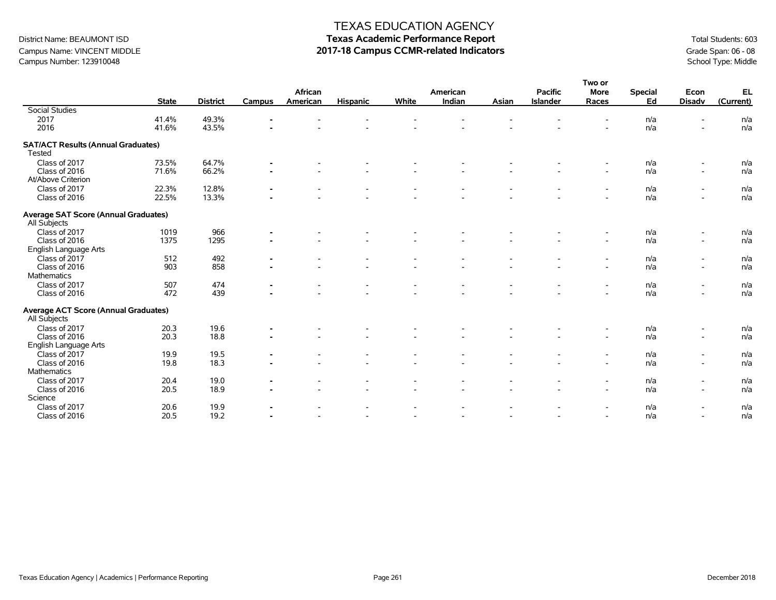# District Name: BEAUMONT ISD **Texas Academic Performance Report Texas Academic Performance Report** Total Students: 603 Campus Name: VINCENT MIDDLE **2017-18 Campus CCMR-related Indicators** Grade Span: 06 - 08<br>Campus Number: 123910048<br>School Type: Middle

|                                             |              |                 |                |                          |                 |       |                    |       |                          | Two or                   |                      |                          |            |
|---------------------------------------------|--------------|-----------------|----------------|--------------------------|-----------------|-------|--------------------|-------|--------------------------|--------------------------|----------------------|--------------------------|------------|
|                                             |              |                 | <b>Campus</b>  | African                  |                 | White | American<br>Indian | Asian | <b>Pacific</b>           | <b>More</b>              | <b>Special</b><br>Ed | Econ                     | <b>EL</b>  |
| <b>Social Studies</b>                       | <b>State</b> | <b>District</b> |                | American                 | <b>Hispanic</b> |       |                    |       | Islander                 | Races                    |                      | <b>Disadv</b>            | (Current)  |
| 2017                                        | 41.4%        | 49.3%           |                |                          |                 |       |                    |       |                          |                          | n/a                  |                          | n/a        |
| 2016                                        | 41.6%        | 43.5%           |                |                          |                 |       |                    |       |                          |                          | n/a                  |                          | n/a        |
|                                             |              |                 |                |                          |                 |       |                    |       |                          |                          |                      |                          |            |
| <b>SAT/ACT Results (Annual Graduates)</b>   |              |                 |                |                          |                 |       |                    |       |                          |                          |                      |                          |            |
| Tested                                      |              |                 |                |                          |                 |       |                    |       |                          |                          |                      |                          |            |
| Class of 2017                               | 73.5%        | 64.7%           | $\blacksquare$ |                          |                 |       |                    |       |                          | $\overline{\phantom{a}}$ | n/a                  | $\overline{\phantom{a}}$ | n/a        |
| Class of 2016                               | 71.6%        | 66.2%           |                |                          |                 |       |                    |       |                          | $\overline{\phantom{a}}$ | n/a                  | $\overline{\phantom{a}}$ | n/a        |
| At/Above Criterion                          |              |                 |                |                          |                 |       |                    |       |                          |                          |                      |                          |            |
| Class of 2017                               | 22.3%        | 12.8%           |                |                          |                 |       |                    |       |                          |                          | n/a                  |                          | n/a        |
| Class of 2016                               | 22.5%        | 13.3%           |                |                          |                 |       |                    |       |                          |                          | n/a                  |                          | n/a        |
|                                             |              |                 |                |                          |                 |       |                    |       |                          |                          |                      |                          |            |
| <b>Average SAT Score (Annual Graduates)</b> |              |                 |                |                          |                 |       |                    |       |                          |                          |                      |                          |            |
| All Subjects                                |              |                 |                |                          |                 |       |                    |       |                          |                          |                      |                          |            |
| Class of 2017                               | 1019         | 966             |                |                          |                 |       |                    |       |                          |                          | n/a                  |                          | n/a        |
| Class of 2016                               | 1375         | 1295            |                |                          |                 |       |                    |       |                          | $\overline{\phantom{a}}$ | n/a                  | $\overline{\phantom{a}}$ | n/a        |
| English Language Arts                       |              |                 |                |                          |                 |       |                    |       |                          |                          |                      |                          |            |
| Class of 2017                               | 512          | 492             |                |                          |                 |       |                    |       |                          |                          | n/a                  |                          | n/a        |
| Class of 2016                               | 903          | 858             |                |                          |                 |       |                    |       |                          |                          | n/a                  |                          | n/a        |
| <b>Mathematics</b>                          |              |                 |                |                          |                 |       |                    |       |                          |                          |                      |                          |            |
| Class of 2017                               | 507          | 474             |                |                          |                 |       |                    |       |                          |                          | n/a                  |                          | n/a        |
| Class of 2016                               | 472          | 439             |                |                          |                 |       |                    |       |                          | $\overline{a}$           | n/a                  |                          | n/a        |
| <b>Average ACT Score (Annual Graduates)</b> |              |                 |                |                          |                 |       |                    |       |                          |                          |                      |                          |            |
| All Subjects                                |              |                 |                |                          |                 |       |                    |       |                          |                          |                      |                          |            |
| Class of 2017                               | 20.3         | 19.6            |                |                          |                 |       |                    |       |                          | $\overline{\phantom{a}}$ | n/a                  | $\overline{\phantom{a}}$ | n/a        |
| Class of 2016                               | 20.3         | 18.8            |                |                          |                 |       |                    |       |                          | $\overline{\phantom{a}}$ | n/a                  | $\overline{\phantom{a}}$ | n/a        |
| English Language Arts                       |              |                 |                |                          |                 |       |                    |       |                          |                          |                      |                          |            |
| Class of 2017                               | 19.9         | 19.5            |                |                          |                 |       |                    |       |                          |                          | n/a                  | $\overline{\phantom{a}}$ | n/a        |
| Class of 2016                               | 19.8         | 18.3            |                |                          |                 |       |                    |       |                          | $\overline{\phantom{a}}$ | n/a                  | $\sim$                   | n/a        |
| Mathematics                                 |              |                 |                |                          |                 |       |                    |       |                          |                          |                      |                          |            |
| Class of 2017                               | 20.4         | 19.0            |                | $\overline{\phantom{a}}$ |                 |       |                    |       | $\overline{\phantom{a}}$ | $\overline{\phantom{a}}$ | n/a                  | $\overline{\phantom{a}}$ |            |
| Class of 2016                               | 20.5         | 18.9            | $\blacksquare$ |                          |                 |       |                    |       |                          | $\blacksquare$           | n/a                  |                          | n/a<br>n/a |
| Science                                     |              |                 |                | $\overline{\phantom{a}}$ |                 |       |                    |       |                          |                          |                      | $\overline{\phantom{a}}$ |            |
|                                             |              |                 |                |                          |                 |       |                    |       |                          |                          |                      |                          |            |
| Class of 2017<br>Class of 2016              | 20.6<br>20.5 | 19.9<br>19.2    |                |                          |                 |       |                    |       |                          | $\overline{\phantom{a}}$ | n/a<br>n/a           | $\overline{\phantom{a}}$ | n/a<br>n/a |
|                                             |              |                 |                |                          |                 |       |                    |       |                          |                          |                      |                          |            |

Campus Number: 123910048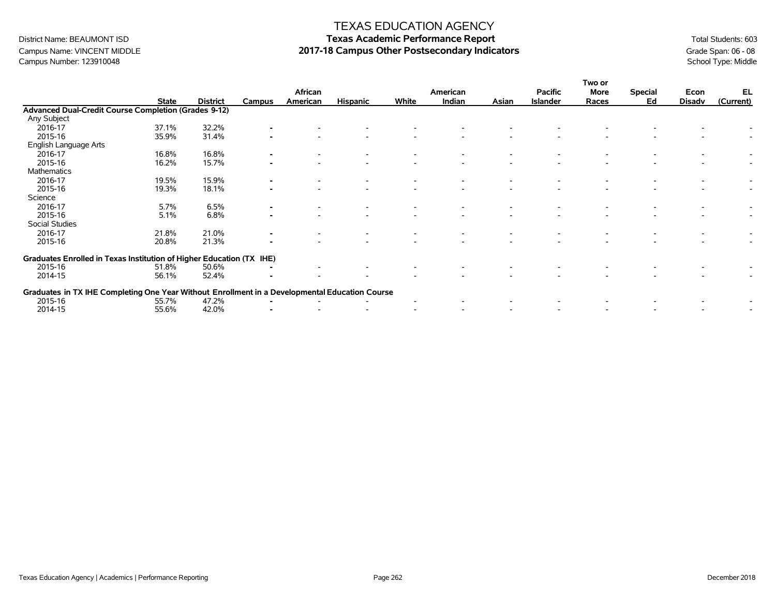### Campus Name: VINCENT MIDDLE **2017-18 Campus Other Postsecondary Indicators** Grade Span: 06 - 08<br>Campus Number: 123910048<br>School Type: Middle Campus Number: 123910048

### TEXAS EDUCATION AGENCY

|                                                                                                |              |                 |        | African  |                 |       | American |       | <b>Pacific</b>  | Two or<br>More | <b>Special</b> | Econ          | EL        |
|------------------------------------------------------------------------------------------------|--------------|-----------------|--------|----------|-----------------|-------|----------|-------|-----------------|----------------|----------------|---------------|-----------|
|                                                                                                | <b>State</b> | <b>District</b> | Campus | American | <b>Hispanic</b> | White | Indian   | Asian | <b>Islander</b> | Races          | Ed             | <b>Disadv</b> | (Current) |
| Advanced Dual-Credit Course Completion (Grades 9-12)                                           |              |                 |        |          |                 |       |          |       |                 |                |                |               |           |
| Any Subject                                                                                    |              |                 |        |          |                 |       |          |       |                 |                |                |               |           |
| 2016-17                                                                                        | 37.1%        | 32.2%           |        |          |                 |       |          |       |                 |                |                |               |           |
| 2015-16                                                                                        | 35.9%        | 31.4%           |        |          |                 |       |          |       |                 |                |                |               |           |
| English Language Arts                                                                          |              |                 |        |          |                 |       |          |       |                 |                |                |               |           |
| 2016-17                                                                                        | 16.8%        | 16.8%           |        |          |                 |       |          |       |                 |                |                |               |           |
| 2015-16                                                                                        | 16.2%        | 15.7%           |        |          |                 |       |          |       |                 |                |                |               |           |
| Mathematics                                                                                    |              |                 |        |          |                 |       |          |       |                 |                |                |               |           |
| 2016-17                                                                                        | 19.5%        | 15.9%           |        |          |                 |       |          |       |                 |                |                |               |           |
| 2015-16                                                                                        | 19.3%        | 18.1%           |        |          |                 |       |          |       |                 |                |                |               |           |
| Science                                                                                        |              |                 |        |          |                 |       |          |       |                 |                |                |               |           |
| 2016-17                                                                                        | 5.7%         | 6.5%            |        |          |                 |       |          |       |                 |                |                |               |           |
| 2015-16                                                                                        | 5.1%         | 6.8%            |        |          |                 |       |          |       |                 |                |                |               |           |
| Social Studies                                                                                 |              |                 |        |          |                 |       |          |       |                 |                |                |               |           |
| 2016-17                                                                                        | 21.8%        | 21.0%           |        |          |                 |       |          |       |                 |                |                |               |           |
| 2015-16                                                                                        | 20.8%        | 21.3%           |        |          |                 |       |          |       |                 |                |                |               |           |
| Graduates Enrolled in Texas Institution of Higher Education (TX                                |              |                 | IHE)   |          |                 |       |          |       |                 |                |                |               |           |
| 2015-16                                                                                        | 51.8%        | 50.6%           |        |          |                 |       |          |       |                 |                |                |               |           |
| 2014-15                                                                                        | 56.1%        | 52.4%           |        |          |                 |       |          |       |                 |                |                |               |           |
| Graduates in TX IHE Completing One Year Without Enrollment in a Developmental Education Course |              |                 |        |          |                 |       |          |       |                 |                |                |               |           |
| 2015-16                                                                                        | 55.7%        | 47.2%           |        |          |                 |       |          |       |                 |                |                |               |           |
| 2014-15                                                                                        | 55.6%        | 42.0%           |        |          |                 |       |          |       |                 |                |                |               |           |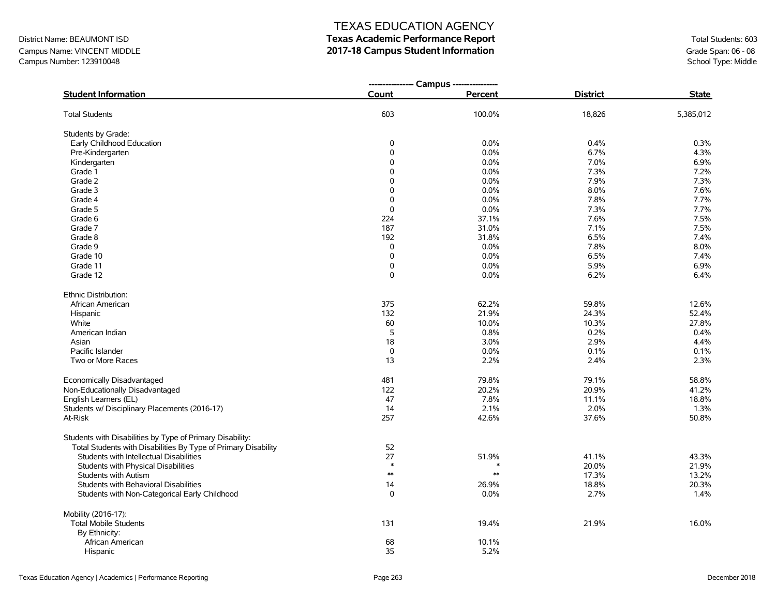### Campus Name: VINCENT MIDDLE **2017-18 Campus Student Information**<br>Campus Number: 123910048<br>School Type: Middle Campus Number: 123910048

### TEXAS EDUCATION AGENCY

|                                                                |             | --------------- Campus --------------- |                 |              |
|----------------------------------------------------------------|-------------|----------------------------------------|-----------------|--------------|
| <b>Student Information</b>                                     | Count       | Percent                                | <b>District</b> | <b>State</b> |
| <b>Total Students</b>                                          | 603         | 100.0%                                 | 18,826          | 5,385,012    |
| Students by Grade:                                             |             |                                        |                 |              |
| Early Childhood Education                                      | 0           | 0.0%                                   | 0.4%            | 0.3%         |
| Pre-Kindergarten                                               | 0           | 0.0%                                   | 6.7%            | 4.3%         |
| Kindergarten                                                   | 0           | 0.0%                                   | 7.0%            | 6.9%         |
| Grade 1                                                        | 0           | 0.0%                                   | 7.3%            | 7.2%         |
| Grade 2                                                        | 0           | 0.0%                                   | 7.9%            | 7.3%         |
| Grade 3                                                        | $\Omega$    | 0.0%                                   | 8.0%            | 7.6%         |
| Grade 4                                                        | 0           | 0.0%                                   | 7.8%            | 7.7%         |
| Grade 5                                                        | 0           | 0.0%                                   | 7.3%            | 7.7%         |
| Grade 6                                                        | 224         | 37.1%                                  | 7.6%            | 7.5%         |
| Grade 7                                                        | 187         | 31.0%                                  | 7.1%            | 7.5%         |
| Grade 8                                                        | 192         | 31.8%                                  | 6.5%            | 7.4%         |
| Grade 9                                                        | 0           | 0.0%                                   | 7.8%            | 8.0%         |
| Grade 10                                                       | $\mathsf 0$ | 0.0%                                   | 6.5%            | 7.4%         |
| Grade 11                                                       | $\mathsf 0$ | 0.0%                                   | 5.9%            | 6.9%         |
| Grade 12                                                       | $\Omega$    | 0.0%                                   | 6.2%            | 6.4%         |
| Ethnic Distribution:                                           |             |                                        |                 |              |
| African American                                               | 375         | 62.2%                                  | 59.8%           | 12.6%        |
| Hispanic                                                       | 132         | 21.9%                                  | 24.3%           | 52.4%        |
| White                                                          | 60          | 10.0%                                  | 10.3%           | 27.8%        |
| American Indian                                                | 5           | 0.8%                                   | 0.2%            | 0.4%         |
| Asian                                                          | 18          | 3.0%                                   | 2.9%            | 4.4%         |
| Pacific Islander                                               | 0           | 0.0%                                   | 0.1%            | 0.1%         |
| Two or More Races                                              | 13          | 2.2%                                   | 2.4%            | 2.3%         |
| Economically Disadvantaged                                     | 481         | 79.8%                                  | 79.1%           | 58.8%        |
| Non-Educationally Disadvantaged                                | 122         | 20.2%                                  | 20.9%           | 41.2%        |
| English Learners (EL)                                          | 47          | 7.8%                                   | 11.1%           | 18.8%        |
| Students w/ Disciplinary Placements (2016-17)                  | 14          | 2.1%                                   | 2.0%            | 1.3%         |
| At-Risk                                                        | 257         | 42.6%                                  | 37.6%           | 50.8%        |
| Students with Disabilities by Type of Primary Disability:      |             |                                        |                 |              |
| Total Students with Disabilities By Type of Primary Disability | 52          |                                        |                 |              |
| Students with Intellectual Disabilities                        | 27          | 51.9%                                  | 41.1%           | 43.3%        |
| Students with Physical Disabilities                            | $\ast$      |                                        | 20.0%           | 21.9%        |
| <b>Students with Autism</b>                                    | $\ast\ast$  | $\ast\ast$                             | 17.3%           | 13.2%        |
| Students with Behavioral Disabilities                          | 14          | 26.9%                                  | 18.8%           | 20.3%        |
| Students with Non-Categorical Early Childhood                  | $\mathbf 0$ | 0.0%                                   | 2.7%            | 1.4%         |
| Mobility (2016-17):                                            |             |                                        |                 |              |
| <b>Total Mobile Students</b>                                   | 131         | 19.4%                                  | 21.9%           | 16.0%        |
| By Ethnicity:                                                  |             |                                        |                 |              |
| African American                                               | 68          | 10.1%                                  |                 |              |
| Hispanic                                                       | 35          | 5.2%                                   |                 |              |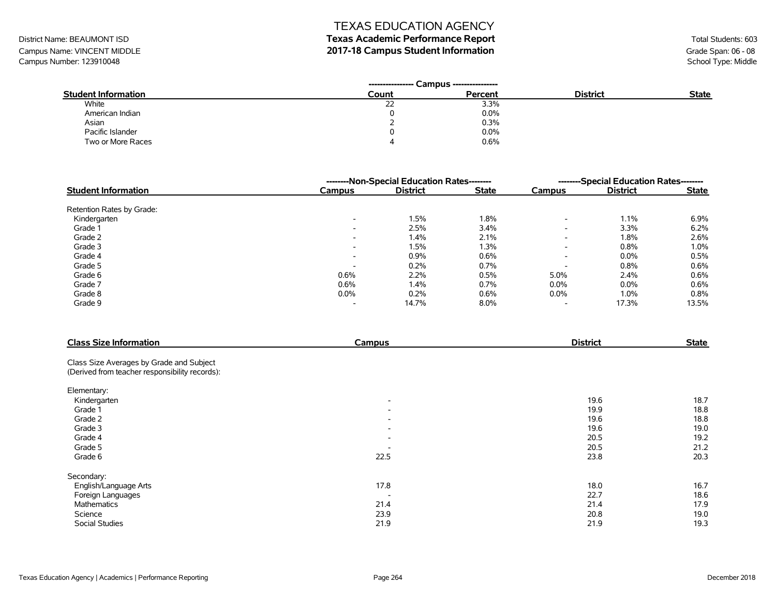# District Name: BEAUMONT ISD **Texas Academic Performance Report Texas Academic Performance Report** Total Students: 603

Campus Name: VINCENT MIDDLE **2017-18 Campus Student Information**<br>Campus Number: 123910048<br>School Type: Middle Campus Number: 123910048

|                            | Campus ----------------<br>---------------- |         |                 |              |
|----------------------------|---------------------------------------------|---------|-----------------|--------------|
| <b>Student Information</b> | Count                                       | Percent | <b>District</b> | <b>State</b> |
| White                      | n-<br>22                                    | 3.3%    |                 |              |
| American Indian            | 0                                           | 0.0%    |                 |              |
| Asian                      |                                             | 0.3%    |                 |              |
| Pacific Islander           |                                             | $0.0\%$ |                 |              |
| Two or More Races          |                                             | 0.6%    |                 |              |

|                            |                          | --------Non-Special Education Rates-------- | --------Special Education Rates-------- |                          |                 |              |
|----------------------------|--------------------------|---------------------------------------------|-----------------------------------------|--------------------------|-----------------|--------------|
| <b>Student Information</b> | Campus                   | <b>District</b>                             | <b>State</b>                            | Campus                   | <b>District</b> | <b>State</b> |
| Retention Rates by Grade:  |                          |                                             |                                         |                          |                 |              |
| Kindergarten               | $\overline{\phantom{a}}$ | 1.5%                                        | 1.8%                                    | $\overline{\phantom{a}}$ | 1.1%            | 6.9%         |
| Grade 1                    | $\overline{\phantom{a}}$ | 2.5%                                        | 3.4%                                    | $\overline{\phantom{0}}$ | 3.3%            | 6.2%         |
| Grade 2                    | $\overline{\phantom{0}}$ | 1.4%                                        | 2.1%                                    | $\overline{\phantom{a}}$ | 1.8%            | 2.6%         |
| Grade 3                    | $\overline{\phantom{0}}$ | 1.5%                                        | 1.3%                                    | $\overline{\phantom{a}}$ | 0.8%            | 1.0%         |
| Grade 4                    | $\overline{\phantom{a}}$ | 0.9%                                        | 0.6%                                    | $\overline{\phantom{0}}$ | $0.0\%$         | 0.5%         |
| Grade 5                    |                          | 0.2%                                        | 0.7%                                    |                          | 0.8%            | 0.6%         |
| Grade 6                    | 0.6%                     | 2.2%                                        | 0.5%                                    | 5.0%                     | 2.4%            | 0.6%         |
| Grade 7                    | 0.6%                     | 1.4%                                        | 0.7%                                    | $0.0\%$                  | 0.0%            | 0.6%         |
| Grade 8                    | $0.0\%$                  | 0.2%                                        | 0.6%                                    | $0.0\%$                  | 1.0%            | 0.8%         |
| Grade 9                    | $\overline{\phantom{0}}$ | 14.7%                                       | 8.0%                                    | $\overline{\phantom{a}}$ | 17.3%           | 13.5%        |

| <b>Class Size Information</b>                  | Campus                   | <b>District</b> | <b>State</b> |
|------------------------------------------------|--------------------------|-----------------|--------------|
| Class Size Averages by Grade and Subject       |                          |                 |              |
| (Derived from teacher responsibility records): |                          |                 |              |
| Elementary:                                    |                          |                 |              |
| Kindergarten                                   | $\overline{\phantom{a}}$ | 19.6            | 18.7         |
| Grade 1                                        | $\overline{\phantom{a}}$ | 19.9            | 18.8         |
| Grade 2                                        | $\overline{\phantom{0}}$ | 19.6            | 18.8         |
| Grade 3                                        | $\overline{\phantom{a}}$ | 19.6            | 19.0         |
| Grade 4                                        | $\overline{\phantom{0}}$ | 20.5            | 19.2         |
| Grade 5                                        |                          | 20.5            | 21.2         |
| Grade 6                                        | 22.5                     | 23.8            | 20.3         |
| Secondary:                                     |                          |                 |              |
| English/Language Arts                          | 17.8                     | 18.0            | 16.7         |
| Foreign Languages                              | $\overline{\phantom{a}}$ | 22.7            | 18.6         |
| Mathematics                                    | 21.4                     | 21.4            | 17.9         |
| Science                                        | 23.9                     | 20.8            | 19.0         |
| <b>Social Studies</b>                          | 21.9                     | 21.9            | 19.3         |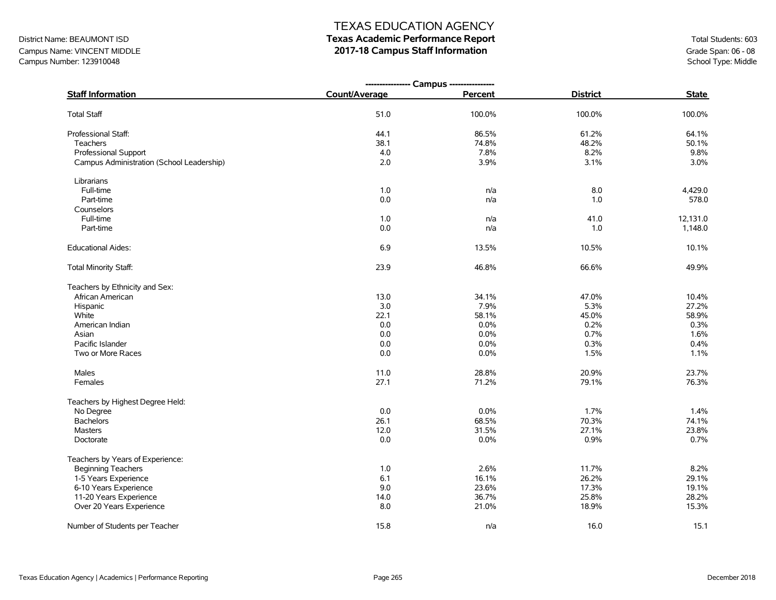# District Name: BEAUMONT ISD **Texas Academic Performance Report Texas Academic Performance Report** Total Students: 603

Campus Name: VINCENT MIDDLE **2017-18 Campus Staff Information**<br>Campus Number: 123910048<br>Compus Number: 123910048 Campus Number: 123910048

|                                           | ---------------- Campus ---------------- |         |                 |              |
|-------------------------------------------|------------------------------------------|---------|-----------------|--------------|
| <b>Staff Information</b>                  | Count/Average                            | Percent | <b>District</b> | <b>State</b> |
| <b>Total Staff</b>                        | 51.0                                     | 100.0%  | 100.0%          | 100.0%       |
| Professional Staff:                       | 44.1                                     | 86.5%   | 61.2%           | 64.1%        |
| Teachers                                  | 38.1                                     | 74.8%   | 48.2%           | 50.1%        |
| <b>Professional Support</b>               | 4.0                                      | 7.8%    | 8.2%            | 9.8%         |
| Campus Administration (School Leadership) | 2.0                                      | 3.9%    | 3.1%            | 3.0%         |
| Librarians                                |                                          |         |                 |              |
| Full-time                                 | 1.0                                      | n/a     | 8.0             | 4,429.0      |
| Part-time                                 | 0.0                                      | n/a     | 1.0             | 578.0        |
| Counselors                                |                                          |         |                 |              |
| Full-time                                 | 1.0                                      | n/a     | 41.0            | 12,131.0     |
| Part-time                                 | 0.0                                      | n/a     | 1.0             | 1,148.0      |
| <b>Educational Aides:</b>                 | 6.9                                      | 13.5%   | 10.5%           | 10.1%        |
| Total Minority Staff:                     | 23.9                                     | 46.8%   | 66.6%           | 49.9%        |
| Teachers by Ethnicity and Sex:            |                                          |         |                 |              |
| African American                          | 13.0                                     | 34.1%   | 47.0%           | 10.4%        |
| Hispanic                                  | 3.0                                      | 7.9%    | 5.3%            | 27.2%        |
| White                                     | 22.1                                     | 58.1%   | 45.0%           | 58.9%        |
| American Indian                           | 0.0                                      | 0.0%    | 0.2%            | 0.3%         |
| Asian                                     | 0.0                                      | 0.0%    | 0.7%            | 1.6%         |
| Pacific Islander                          | $0.0\,$                                  | 0.0%    | 0.3%            | 0.4%         |
| Two or More Races                         | 0.0                                      | 0.0%    | 1.5%            | 1.1%         |
| Males                                     | 11.0                                     | 28.8%   | 20.9%           | 23.7%        |
| Females                                   | 27.1                                     | 71.2%   | 79.1%           | 76.3%        |
| Teachers by Highest Degree Held:          |                                          |         |                 |              |
| No Degree                                 | 0.0                                      | 0.0%    | 1.7%            | 1.4%         |
| <b>Bachelors</b>                          | 26.1                                     | 68.5%   | 70.3%           | 74.1%        |
| <b>Masters</b>                            | 12.0                                     | 31.5%   | 27.1%           | 23.8%        |
| Doctorate                                 | 0.0                                      | 0.0%    | 0.9%            | 0.7%         |
| Teachers by Years of Experience:          |                                          |         |                 |              |
| <b>Beginning Teachers</b>                 | 1.0                                      | 2.6%    | 11.7%           | 8.2%         |
| 1-5 Years Experience                      | 6.1                                      | 16.1%   | 26.2%           | 29.1%        |
| 6-10 Years Experience                     | 9.0                                      | 23.6%   | 17.3%           | 19.1%        |
| 11-20 Years Experience                    | 14.0                                     | 36.7%   | 25.8%           | 28.2%        |
| Over 20 Years Experience                  | 8.0                                      | 21.0%   | 18.9%           | 15.3%        |
| Number of Students per Teacher            | 15.8                                     | n/a     | 16.0            | 15.1         |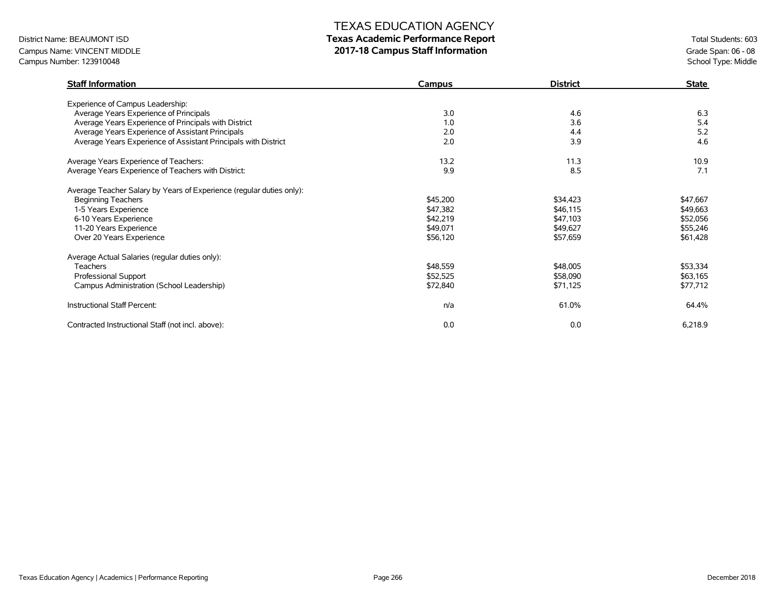# District Name: BEAUMONT ISD **Texas Academic Performance Report Texas Academic Performance Report** Total Students: 603

Campus Name: VINCENT MIDDLE **2017-18 Campus Staff Information**<br>Campus Number: 123910048<br>Compus Number: 123910048 Campus Number: 123910048

| <b>Staff Information</b>                                             | Campus   | <b>District</b> | <b>State</b> |
|----------------------------------------------------------------------|----------|-----------------|--------------|
| Experience of Campus Leadership:                                     |          |                 |              |
| Average Years Experience of Principals                               | 3.0      | 4.6             | 6.3          |
| Average Years Experience of Principals with District                 | 1.0      | 3.6             | 5.4          |
| Average Years Experience of Assistant Principals                     | 2.0      | 4.4             | 5.2          |
| Average Years Experience of Assistant Principals with District       | 2.0      | 3.9             | 4.6          |
| Average Years Experience of Teachers:                                | 13.2     | 11.3            | 10.9         |
| Average Years Experience of Teachers with District:                  | 9.9      | 8.5             | 7.1          |
| Average Teacher Salary by Years of Experience (regular duties only): |          |                 |              |
| <b>Beginning Teachers</b>                                            | \$45,200 | \$34,423        | \$47,667     |
| 1-5 Years Experience                                                 | \$47,382 | \$46,115        | \$49,663     |
| 6-10 Years Experience                                                | \$42,219 | \$47,103        | \$52,056     |
| 11-20 Years Experience                                               | \$49,071 | \$49,627        | \$55,246     |
| Over 20 Years Experience                                             | \$56,120 | \$57,659        | \$61,428     |
| Average Actual Salaries (regular duties only):                       |          |                 |              |
| <b>Teachers</b>                                                      | \$48,559 | \$48,005        | \$53,334     |
| Professional Support                                                 | \$52,525 | \$58,090        | \$63,165     |
| Campus Administration (School Leadership)                            | \$72,840 | \$71,125        | \$77,712     |
| Instructional Staff Percent:                                         | n/a      | 61.0%           | 64.4%        |
| Contracted Instructional Staff (not incl. above):                    | 0.0      | 0.0             | 6,218.9      |